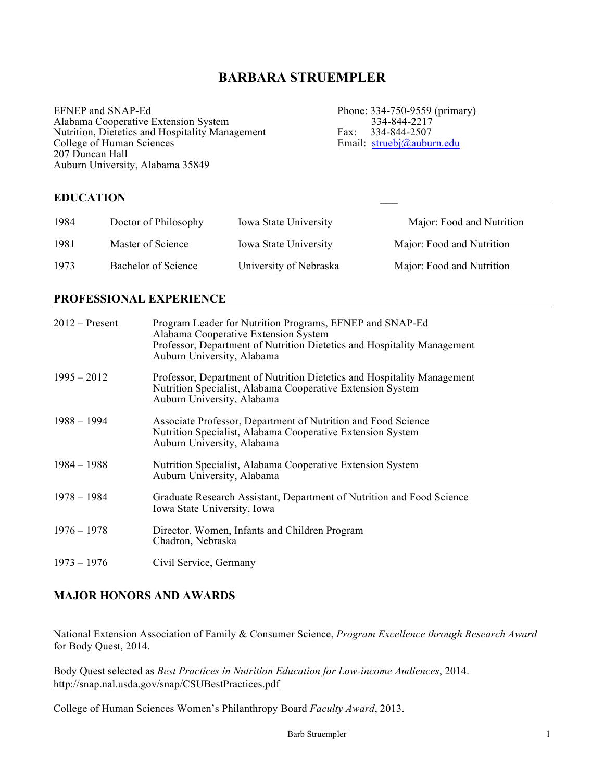# **BARBARA STRUEMPLER**

EFNEP and SNAP-Ed<br>Alabama Cooperative Extension System<br>334-844-2217<br>334-844-2217 Alabama Cooperative Extension System 334-844-2217<br>
Nutrition, Dietetics and Hospitality Management Fax: 334-844-2507 Nutrition, Dietetics and Hospitality Management Fax: 334-844-2507 College of Human Sciences **Email:** struebj@auburn.edu 207 Duncan Hall Auburn University, Alabama 35849

# **EDUCATION \_\_\_**

| 1984 | Doctor of Philosophy | <b>Iowa State University</b> | Major: Food and Nutrition |
|------|----------------------|------------------------------|---------------------------|
| 1981 | Master of Science    | <b>Iowa State University</b> | Major: Food and Nutrition |
| 1973 | Bachelor of Science  | University of Nebraska       | Major: Food and Nutrition |

# **PROFESSIONAL EXPERIENCE**

| $2012$ – Present | Program Leader for Nutrition Programs, EFNEP and SNAP-Ed<br>Alabama Cooperative Extension System<br>Professor, Department of Nutrition Dietetics and Hospitality Management<br>Auburn University, Alabama |
|------------------|-----------------------------------------------------------------------------------------------------------------------------------------------------------------------------------------------------------|
| $1995 - 2012$    | Professor, Department of Nutrition Dietetics and Hospitality Management<br>Nutrition Specialist, Alabama Cooperative Extension System<br>Auburn University, Alabama                                       |
| $1988 - 1994$    | Associate Professor, Department of Nutrition and Food Science<br>Nutrition Specialist, Alabama Cooperative Extension System<br>Auburn University, Alabama                                                 |
| $1984 - 1988$    | Nutrition Specialist, Alabama Cooperative Extension System<br>Auburn University, Alabama                                                                                                                  |
| $1978 - 1984$    | Graduate Research Assistant, Department of Nutrition and Food Science<br>Iowa State University, Iowa                                                                                                      |
| $1976 - 1978$    | Director, Women, Infants and Children Program<br>Chadron, Nebraska                                                                                                                                        |
| $1973 - 1976$    | Civil Service, Germany                                                                                                                                                                                    |

# **MAJOR HONORS AND AWARDS**

National Extension Association of Family & Consumer Science, *Program Excellence through Research Award* for Body Quest, 2014.

Body Quest selected as *Best Practices in Nutrition Education for Low-income Audiences*, 2014. http://snap.nal.usda.gov/snap/CSUBestPractices.pdf

College of Human Sciences Women's Philanthropy Board *Faculty Award*, 2013.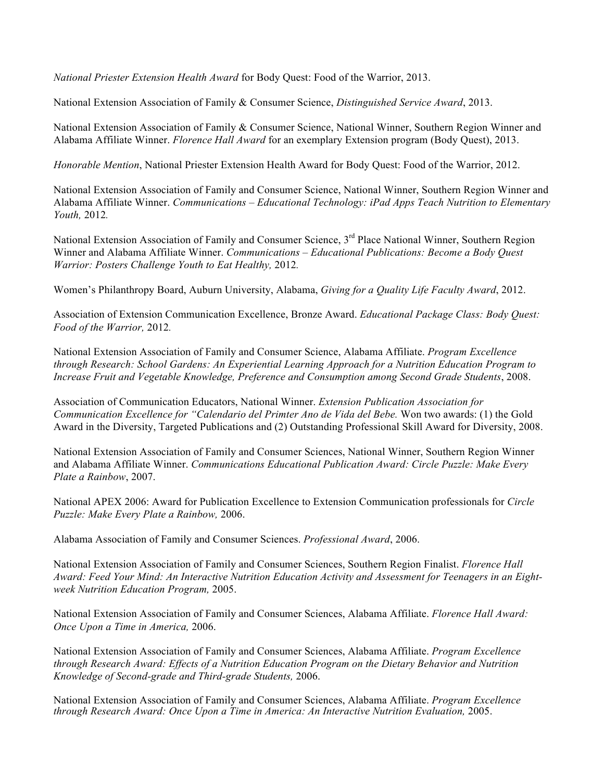*National Priester Extension Health Award* for Body Quest: Food of the Warrior, 2013.

National Extension Association of Family & Consumer Science, *Distinguished Service Award*, 2013.

National Extension Association of Family & Consumer Science, National Winner, Southern Region Winner and Alabama Affiliate Winner. *Florence Hall Award* for an exemplary Extension program (Body Quest), 2013.

*Honorable Mention*, National Priester Extension Health Award for Body Quest: Food of the Warrior, 2012.

National Extension Association of Family and Consumer Science, National Winner, Southern Region Winner and Alabama Affiliate Winner. *Communications – Educational Technology: iPad Apps Teach Nutrition to Elementary Youth,* 2012*.*

National Extension Association of Family and Consumer Science, 3<sup>rd</sup> Place National Winner, Southern Region Winner and Alabama Affiliate Winner. *Communications – Educational Publications: Become a Body Quest Warrior: Posters Challenge Youth to Eat Healthy,* 2012*.*

Women's Philanthropy Board, Auburn University, Alabama, *Giving for a Quality Life Faculty Award*, 2012.

Association of Extension Communication Excellence, Bronze Award. *Educational Package Class: Body Quest: Food of the Warrior,* 2012*.*

National Extension Association of Family and Consumer Science, Alabama Affiliate. *Program Excellence through Research: School Gardens: An Experiential Learning Approach for a Nutrition Education Program to Increase Fruit and Vegetable Knowledge, Preference and Consumption among Second Grade Students*, 2008.

Association of Communication Educators, National Winner. *Extension Publication Association for Communication Excellence for "Calendario del Primter Ano de Vida del Bebe.* Won two awards: (1) the Gold Award in the Diversity, Targeted Publications and (2) Outstanding Professional Skill Award for Diversity, 2008.

National Extension Association of Family and Consumer Sciences, National Winner, Southern Region Winner and Alabama Affiliate Winner. *Communications Educational Publication Award: Circle Puzzle: Make Every Plate a Rainbow*, 2007.

National APEX 2006: Award for Publication Excellence to Extension Communication professionals for *Circle Puzzle: Make Every Plate a Rainbow,* 2006.

Alabama Association of Family and Consumer Sciences. *Professional Award*, 2006.

National Extension Association of Family and Consumer Sciences, Southern Region Finalist. *Florence Hall Award: Feed Your Mind: An Interactive Nutrition Education Activity and Assessment for Teenagers in an Eightweek Nutrition Education Program,* 2005.

National Extension Association of Family and Consumer Sciences, Alabama Affiliate. *Florence Hall Award: Once Upon a Time in America,* 2006.

National Extension Association of Family and Consumer Sciences, Alabama Affiliate. *Program Excellence through Research Award: Effects of a Nutrition Education Program on the Dietary Behavior and Nutrition Knowledge of Second-grade and Third-grade Students,* 2006.

National Extension Association of Family and Consumer Sciences, Alabama Affiliate. *Program Excellence through Research Award: Once Upon a Time in America: An Interactive Nutrition Evaluation,* 2005.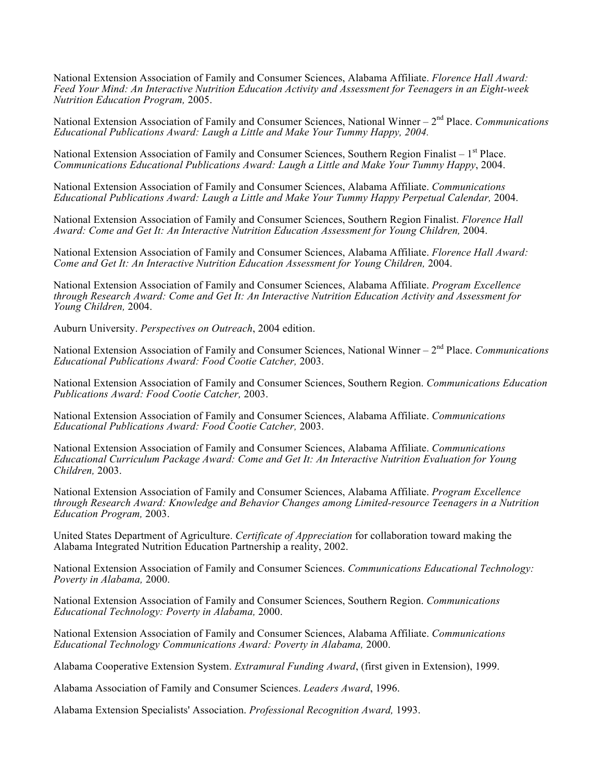National Extension Association of Family and Consumer Sciences, Alabama Affiliate. *Florence Hall Award: Feed Your Mind: An Interactive Nutrition Education Activity and Assessment for Teenagers in an Eight-week Nutrition Education Program,* 2005.

National Extension Association of Family and Consumer Sciences, National Winner – 2<sup>nd</sup> Place. *Communications Educational Publications Award: Laugh a Little and Make Your Tummy Happy, 2004.*

National Extension Association of Family and Consumer Sciences, Southern Region Finalist –  $1<sup>st</sup>$  Place. *Communications Educational Publications Award: Laugh a Little and Make Your Tummy Happy*, 2004.

National Extension Association of Family and Consumer Sciences, Alabama Affiliate. *Communications Educational Publications Award: Laugh a Little and Make Your Tummy Happy Perpetual Calendar,* 2004.

National Extension Association of Family and Consumer Sciences, Southern Region Finalist. *Florence Hall Award: Come and Get It: An Interactive Nutrition Education Assessment for Young Children,* 2004.

National Extension Association of Family and Consumer Sciences, Alabama Affiliate. *Florence Hall Award: Come and Get It: An Interactive Nutrition Education Assessment for Young Children,* 2004.

National Extension Association of Family and Consumer Sciences, Alabama Affiliate. *Program Excellence through Research Award: Come and Get It: An Interactive Nutrition Education Activity and Assessment for Young Children,* 2004.

Auburn University. *Perspectives on Outreach*, 2004 edition.

National Extension Association of Family and Consumer Sciences, National Winner – 2nd Place. *Communications Educational Publications Award: Food Cootie Catcher,* 2003.

National Extension Association of Family and Consumer Sciences, Southern Region. *Communications Education Publications Award: Food Cootie Catcher,* 2003.

National Extension Association of Family and Consumer Sciences, Alabama Affiliate. *Communications Educational Publications Award: Food Cootie Catcher,* 2003.

National Extension Association of Family and Consumer Sciences, Alabama Affiliate. *Communications Educational Curriculum Package Award: Come and Get It: An Interactive Nutrition Evaluation for Young Children,* 2003.

National Extension Association of Family and Consumer Sciences, Alabama Affiliate. *Program Excellence through Research Award: Knowledge and Behavior Changes among Limited-resource Teenagers in a Nutrition Education Program,* 2003.

United States Department of Agriculture. *Certificate of Appreciation* for collaboration toward making the Alabama Integrated Nutrition Education Partnership a reality, 2002.

National Extension Association of Family and Consumer Sciences. *Communications Educational Technology: Poverty in Alabama,* 2000.

National Extension Association of Family and Consumer Sciences, Southern Region. *Communications Educational Technology: Poverty in Alabama,* 2000.

National Extension Association of Family and Consumer Sciences, Alabama Affiliate. *Communications Educational Technology Communications Award: Poverty in Alabama,* 2000.

Alabama Cooperative Extension System. *Extramural Funding Award*, (first given in Extension), 1999.

Alabama Association of Family and Consumer Sciences. *Leaders Award*, 1996.

Alabama Extension Specialists' Association. *Professional Recognition Award,* 1993.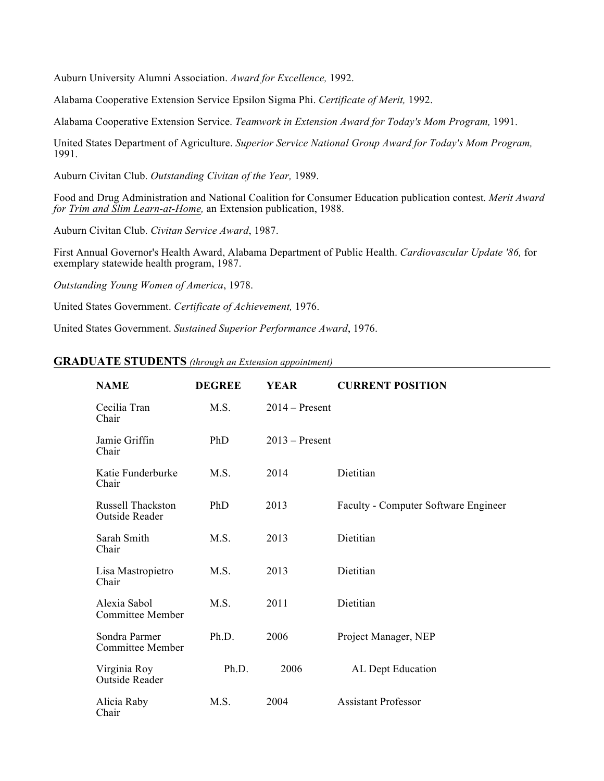Auburn University Alumni Association. *Award for Excellence,* 1992.

Alabama Cooperative Extension Service Epsilon Sigma Phi. *Certificate of Merit,* 1992.

Alabama Cooperative Extension Service. *Teamwork in Extension Award for Today's Mom Program,* 1991.

United States Department of Agriculture. *Superior Service National Group Award for Today's Mom Program,* 1991.

Auburn Civitan Club. *Outstanding Civitan of the Year,* 1989.

Food and Drug Administration and National Coalition for Consumer Education publication contest. *Merit Award for Trim and Slim Learn-at-Home,* an Extension publication, 1988.

Auburn Civitan Club. *Civitan Service Award*, 1987.

First Annual Governor's Health Award, Alabama Department of Public Health. *Cardiovascular Update '86,* for exemplary statewide health program, 1987.

*Outstanding Young Women of America*, 1978.

United States Government. *Certificate of Achievement,* 1976.

United States Government. *Sustained Superior Performance Award*, 1976.

# **GRADUATE STUDENTS** *(through an Extension appointment)*

| <b>NAME</b>                                | <b>DEGREE</b> | <b>YEAR</b>      | <b>CURRENT POSITION</b>              |
|--------------------------------------------|---------------|------------------|--------------------------------------|
| Cecilia Tran<br>Chair                      | M.S.          | $2014 -$ Present |                                      |
| Jamie Griffin<br>Chair                     | PhD           | $2013 -$ Present |                                      |
| Katie Funderburke<br>Chair                 | M.S.          | 2014             | Dietitian                            |
| <b>Russell Thackston</b><br>Outside Reader | PhD           | 2013             | Faculty - Computer Software Engineer |
| Sarah Smith<br>Chair                       | M.S.          | 2013             | Dietitian                            |
| Lisa Mastropietro<br>Chair                 | M.S.          | 2013             | Dietitian                            |
| Alexia Sabol<br><b>Committee Member</b>    | M.S.          | 2011             | Dietitian                            |
| Sondra Parmer<br><b>Committee Member</b>   | Ph.D.         | 2006             | Project Manager, NEP                 |
| Virginia Roy<br>Outside Reader             | Ph.D.         | 2006             | AL Dept Education                    |
| Alicia Raby<br>Chair                       | M.S.          | 2004             | <b>Assistant Professor</b>           |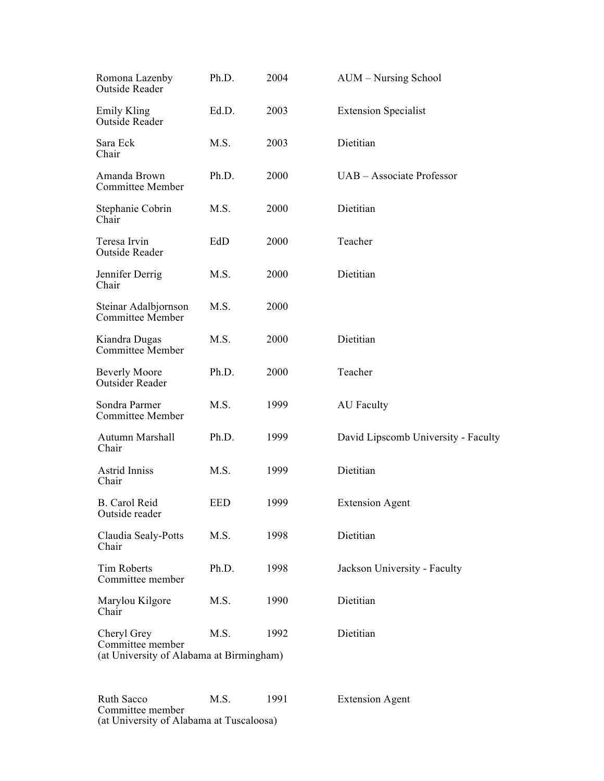| Romona Lazenby<br>Outside Reader                                            | Ph.D.      | 2004 | AUM - Nursing School                |
|-----------------------------------------------------------------------------|------------|------|-------------------------------------|
| Emily Kling<br>Outside Reader                                               | Ed.D.      | 2003 | <b>Extension Specialist</b>         |
| Sara Eck<br>Chair                                                           | M.S.       | 2003 | Dietitian                           |
| Amanda Brown<br><b>Committee Member</b>                                     | Ph.D.      | 2000 | UAB – Associate Professor           |
| Stephanie Cobrin<br>Chair                                                   | M.S.       | 2000 | Dietitian                           |
| Teresa Irvin<br>Outside Reader                                              | EdD        | 2000 | Teacher                             |
| Jennifer Derrig<br>Chair                                                    | M.S.       | 2000 | Dietitian                           |
| Steinar Adalbjornson<br><b>Committee Member</b>                             | M.S.       | 2000 |                                     |
| Kiandra Dugas<br>Committee Member                                           | M.S.       | 2000 | Dietitian                           |
| <b>Beverly Moore</b><br>Outsider Reader                                     | Ph.D.      | 2000 | Teacher                             |
| Sondra Parmer<br><b>Committee Member</b>                                    | M.S.       | 1999 | <b>AU</b> Faculty                   |
| Autumn Marshall<br>Chair                                                    | Ph.D.      | 1999 | David Lipscomb University - Faculty |
| Astrid Inniss<br>Chair                                                      | M.S.       | 1999 | Dietitian                           |
| <b>B.</b> Carol Reid<br>Outside reader                                      | <b>EED</b> | 1999 | <b>Extension Agent</b>              |
| Claudia Sealy-Potts<br>Chair                                                | M.S.       | 1998 | Dietitian                           |
| <b>Tim Roberts</b><br>Committee member                                      | Ph.D.      | 1998 | Jackson University - Faculty        |
| Marylou Kilgore<br>Chair                                                    | M.S.       | 1990 | Dietitian                           |
| Cheryl Grey<br>Committee member<br>(at University of Alabama at Birmingham) | M.S.       | 1992 | Dietitian                           |

Ruth Sacco M.S. 1991 Extension Agent Committee member (at University of Alabama at Tuscaloosa)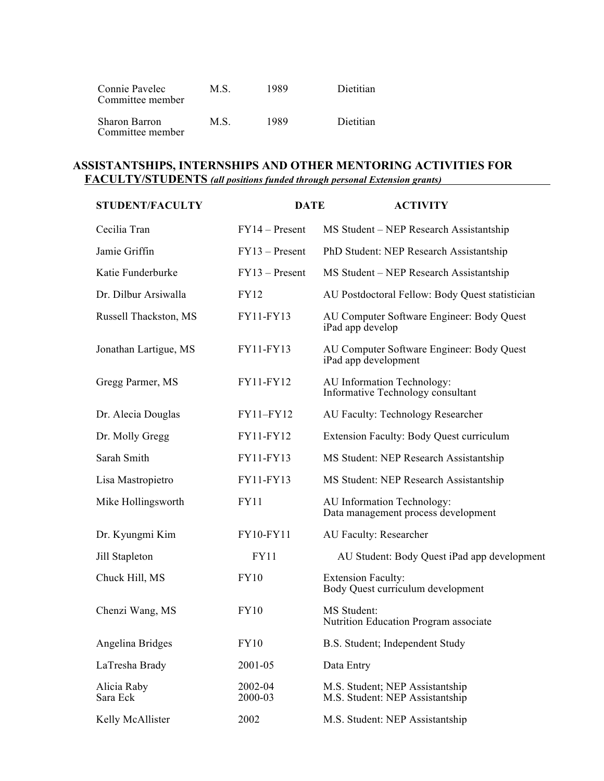| Connie Pavelec<br>Committee member | M S. | 1989 | Dietitian |
|------------------------------------|------|------|-----------|
| Sharon Barron<br>Committee member  | M S  | 1989 | Dietitian |

# **ASSISTANTSHIPS, INTERNSHIPS AND OTHER MENTORING ACTIVITIES FOR FACULTY/STUDENTS** *(all positions funded through personal Extension grants)*

| <b>STUDENT/FACULTY</b>  | <b>DATE</b>        | <b>ACTIVITY</b>                                                    |
|-------------------------|--------------------|--------------------------------------------------------------------|
| Cecilia Tran            | $FY14 - Present$   | MS Student – NEP Research Assistantship                            |
| Jamie Griffin           | $FY13 - Present$   | PhD Student: NEP Research Assistantship                            |
| Katie Funderburke       | $FY13 - Present$   | MS Student – NEP Research Assistantship                            |
| Dr. Dilbur Arsiwalla    | <b>FY12</b>        | AU Postdoctoral Fellow: Body Quest statistician                    |
| Russell Thackston, MS   | FY11-FY13          | AU Computer Software Engineer: Body Quest<br>iPad app develop      |
| Jonathan Lartigue, MS   | FY11-FY13          | AU Computer Software Engineer: Body Quest<br>iPad app development  |
| Gregg Parmer, MS        | FY11-FY12          | AU Information Technology:<br>Informative Technology consultant    |
| Dr. Alecia Douglas      | FY11-FY12          | AU Faculty: Technology Researcher                                  |
| Dr. Molly Gregg         | FY11-FY12          | <b>Extension Faculty: Body Quest curriculum</b>                    |
| Sarah Smith             | FY11-FY13          | MS Student: NEP Research Assistantship                             |
| Lisa Mastropietro       | FY11-FY13          | MS Student: NEP Research Assistantship                             |
| Mike Hollingsworth      | <b>FY11</b>        | AU Information Technology:<br>Data management process development  |
| Dr. Kyungmi Kim         | FY10-FY11          | AU Faculty: Researcher                                             |
| Jill Stapleton          | <b>FY11</b>        | AU Student: Body Quest iPad app development                        |
| Chuck Hill, MS          | <b>FY10</b>        | <b>Extension Faculty:</b><br>Body Quest curriculum development     |
| Chenzi Wang, MS         | <b>FY10</b>        | MS Student:<br>Nutrition Education Program associate               |
| Angelina Bridges        | <b>FY10</b>        | B.S. Student; Independent Study                                    |
| LaTresha Brady          | 2001-05            | Data Entry                                                         |
| Alicia Raby<br>Sara Eck | 2002-04<br>2000-03 | M.S. Student; NEP Assistantship<br>M.S. Student: NEP Assistantship |
| Kelly McAllister        | 2002               | M.S. Student: NEP Assistantship                                    |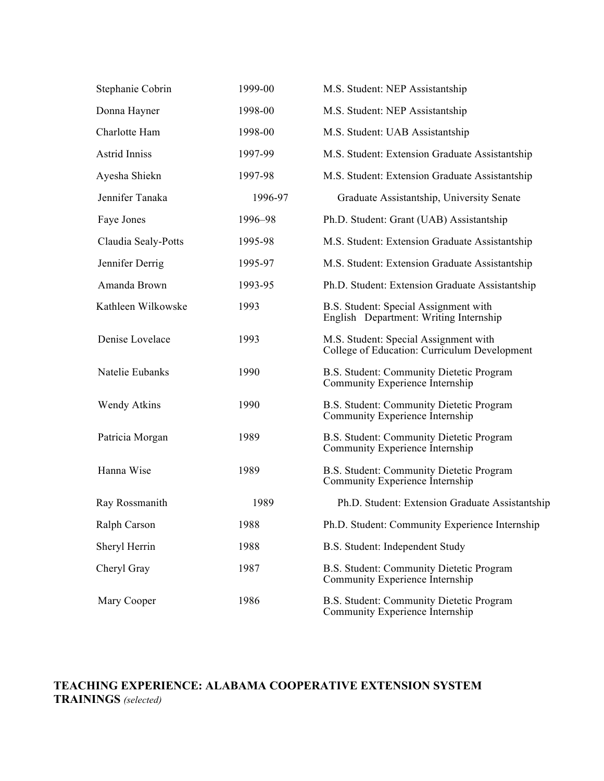| Stephanie Cobrin     | 1999-00 | M.S. Student: NEP Assistantship                                                       |
|----------------------|---------|---------------------------------------------------------------------------------------|
| Donna Hayner         | 1998-00 | M.S. Student: NEP Assistantship                                                       |
| Charlotte Ham        | 1998-00 | M.S. Student: UAB Assistantship                                                       |
| <b>Astrid Inniss</b> | 1997-99 | M.S. Student: Extension Graduate Assistantship                                        |
| Ayesha Shiekn        | 1997-98 | M.S. Student: Extension Graduate Assistantship                                        |
| Jennifer Tanaka      | 1996-97 | Graduate Assistantship, University Senate                                             |
| Faye Jones           | 1996-98 | Ph.D. Student: Grant (UAB) Assistantship                                              |
| Claudia Sealy-Potts  | 1995-98 | M.S. Student: Extension Graduate Assistantship                                        |
| Jennifer Derrig      | 1995-97 | M.S. Student: Extension Graduate Assistantship                                        |
| Amanda Brown         | 1993-95 | Ph.D. Student: Extension Graduate Assistantship                                       |
| Kathleen Wilkowske   | 1993    | B.S. Student: Special Assignment with<br>English Department: Writing Internship       |
| Denise Lovelace      | 1993    | M.S. Student: Special Assignment with<br>College of Education: Curriculum Development |
| Natelie Eubanks      | 1990    | B.S. Student: Community Dietetic Program<br>Community Experience Internship           |
| <b>Wendy Atkins</b>  | 1990    | B.S. Student: Community Dietetic Program<br>Community Experience Internship           |
| Patricia Morgan      | 1989    | B.S. Student: Community Dietetic Program<br>Community Experience Internship           |
| Hanna Wise           | 1989    | B.S. Student: Community Dietetic Program<br>Community Experience Internship           |
| Ray Rossmanith       | 1989    | Ph.D. Student: Extension Graduate Assistantship                                       |
| Ralph Carson         | 1988    | Ph.D. Student: Community Experience Internship                                        |
| Sheryl Herrin        | 1988    | B.S. Student: Independent Study                                                       |
| Cheryl Gray          | 1987    | B.S. Student: Community Dietetic Program<br>Community Experience Internship           |
| Mary Cooper          | 1986    | B.S. Student: Community Dietetic Program<br>Community Experience Internship           |

# **TEACHING EXPERIENCE: ALABAMA COOPERATIVE EXTENSION SYSTEM TRAININGS** *(selected)*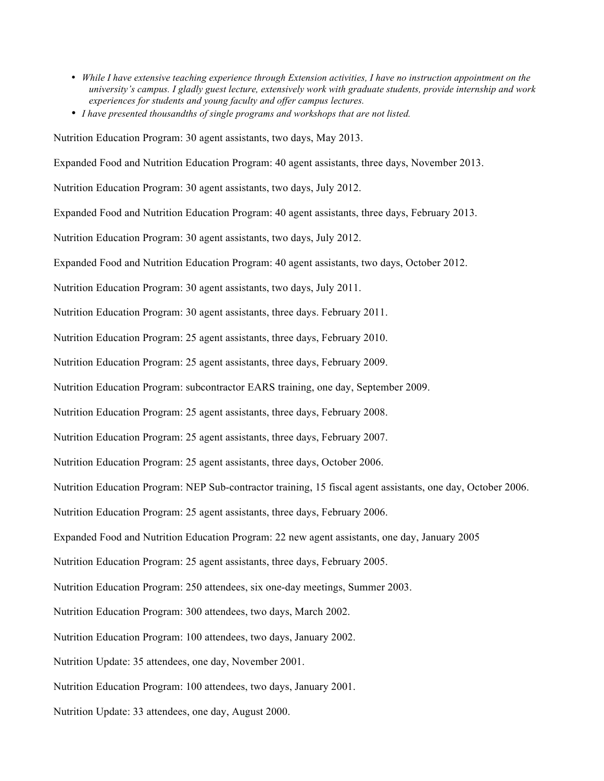- *While I have extensive teaching experience through Extension activities, I have no instruction appointment on the university's campus. I gladly guest lecture, extensively work with graduate students, provide internship and work experiences for students and young faculty and offer campus lectures.*
- *I have presented thousandths of single programs and workshops that are not listed.*

Nutrition Education Program: 30 agent assistants, two days, May 2013.

Expanded Food and Nutrition Education Program: 40 agent assistants, three days, November 2013.

Nutrition Education Program: 30 agent assistants, two days, July 2012.

Expanded Food and Nutrition Education Program: 40 agent assistants, three days, February 2013.

Nutrition Education Program: 30 agent assistants, two days, July 2012.

Expanded Food and Nutrition Education Program: 40 agent assistants, two days, October 2012.

Nutrition Education Program: 30 agent assistants, two days, July 2011.

Nutrition Education Program: 30 agent assistants, three days. February 2011.

Nutrition Education Program: 25 agent assistants, three days, February 2010.

Nutrition Education Program: 25 agent assistants, three days, February 2009.

Nutrition Education Program: subcontractor EARS training, one day, September 2009.

Nutrition Education Program: 25 agent assistants, three days, February 2008.

Nutrition Education Program: 25 agent assistants, three days, February 2007.

Nutrition Education Program: 25 agent assistants, three days, October 2006.

Nutrition Education Program: NEP Sub-contractor training, 15 fiscal agent assistants, one day, October 2006.

Nutrition Education Program: 25 agent assistants, three days, February 2006.

Expanded Food and Nutrition Education Program: 22 new agent assistants, one day, January 2005

Nutrition Education Program: 25 agent assistants, three days, February 2005.

Nutrition Education Program: 250 attendees, six one-day meetings, Summer 2003.

Nutrition Education Program: 300 attendees, two days, March 2002.

Nutrition Education Program: 100 attendees, two days, January 2002.

Nutrition Update: 35 attendees, one day, November 2001.

Nutrition Education Program: 100 attendees, two days, January 2001.

Nutrition Update: 33 attendees, one day, August 2000.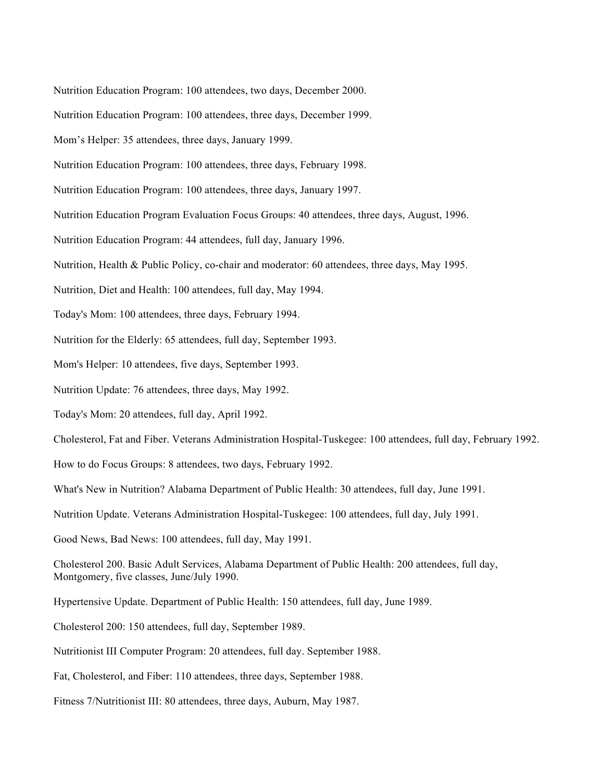Nutrition Education Program: 100 attendees, two days, December 2000.

Nutrition Education Program: 100 attendees, three days, December 1999.

Mom's Helper: 35 attendees, three days, January 1999.

Nutrition Education Program: 100 attendees, three days, February 1998.

Nutrition Education Program: 100 attendees, three days, January 1997.

Nutrition Education Program Evaluation Focus Groups: 40 attendees, three days, August, 1996.

Nutrition Education Program: 44 attendees, full day, January 1996.

Nutrition, Health & Public Policy, co-chair and moderator: 60 attendees, three days, May 1995.

Nutrition, Diet and Health: 100 attendees, full day, May 1994.

Today's Mom: 100 attendees, three days, February 1994.

Nutrition for the Elderly: 65 attendees, full day, September 1993.

Mom's Helper: 10 attendees, five days, September 1993.

Nutrition Update: 76 attendees, three days, May 1992.

Today's Mom: 20 attendees, full day, April 1992.

Cholesterol, Fat and Fiber. Veterans Administration Hospital-Tuskegee: 100 attendees, full day, February 1992.

How to do Focus Groups: 8 attendees, two days, February 1992.

What's New in Nutrition? Alabama Department of Public Health: 30 attendees, full day, June 1991.

Nutrition Update. Veterans Administration Hospital-Tuskegee: 100 attendees, full day, July 1991.

Good News, Bad News: 100 attendees, full day, May 1991.

Cholesterol 200. Basic Adult Services, Alabama Department of Public Health: 200 attendees, full day, Montgomery, five classes, June/July 1990.

Hypertensive Update. Department of Public Health: 150 attendees, full day, June 1989.

Cholesterol 200: 150 attendees, full day, September 1989.

Nutritionist III Computer Program: 20 attendees, full day. September 1988.

Fat, Cholesterol, and Fiber: 110 attendees, three days, September 1988.

Fitness 7/Nutritionist III: 80 attendees, three days, Auburn, May 1987.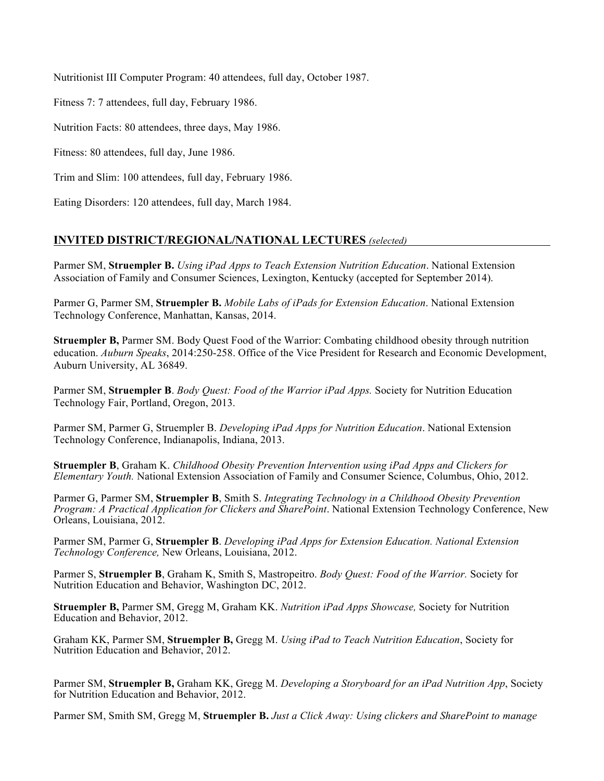Nutritionist III Computer Program: 40 attendees, full day, October 1987.

Fitness 7: 7 attendees, full day, February 1986.

Nutrition Facts: 80 attendees, three days, May 1986.

Fitness: 80 attendees, full day, June 1986.

Trim and Slim: 100 attendees, full day, February 1986.

Eating Disorders: 120 attendees, full day, March 1984.

# **INVITED DISTRICT/REGIONAL/NATIONAL LECTURES** *(selected)*

Parmer SM, **Struempler B.** *Using iPad Apps to Teach Extension Nutrition Education*. National Extension Association of Family and Consumer Sciences, Lexington, Kentucky (accepted for September 2014).

Parmer G, Parmer SM, **Struempler B.** *Mobile Labs of iPads for Extension Education*. National Extension Technology Conference, Manhattan, Kansas, 2014.

**Struempler B,** Parmer SM. Body Quest Food of the Warrior: Combating childhood obesity through nutrition education. *Auburn Speaks*, 2014:250-258. Office of the Vice President for Research and Economic Development, Auburn University, AL 36849.

Parmer SM, **Struempler B**. *Body Quest: Food of the Warrior iPad Apps.* Society for Nutrition Education Technology Fair, Portland, Oregon, 2013.

Parmer SM, Parmer G, Struempler B. *Developing iPad Apps for Nutrition Education*. National Extension Technology Conference, Indianapolis, Indiana, 2013.

**Struempler B**, Graham K. *Childhood Obesity Prevention Intervention using iPad Apps and Clickers for Elementary Youth.* National Extension Association of Family and Consumer Science, Columbus, Ohio, 2012.

Parmer G, Parmer SM, **Struempler B**, Smith S. *Integrating Technology in a Childhood Obesity Prevention Program: A Practical Application for Clickers and SharePoint*. National Extension Technology Conference, New Orleans, Louisiana, 2012.

Parmer SM, Parmer G, **Struempler B**. *Developing iPad Apps for Extension Education. National Extension Technology Conference,* New Orleans, Louisiana, 2012.

Parmer S, **Struempler B**, Graham K, Smith S, Mastropeitro. *Body Quest: Food of the Warrior.* Society for Nutrition Education and Behavior, Washington DC, 2012.

**Struempler B,** Parmer SM, Gregg M, Graham KK. *Nutrition iPad Apps Showcase,* Society for Nutrition Education and Behavior, 2012.

Graham KK, Parmer SM, **Struempler B,** Gregg M. *Using iPad to Teach Nutrition Education*, Society for Nutrition Education and Behavior, 2012.

Parmer SM, **Struempler B,** Graham KK, Gregg M. *Developing a Storyboard for an iPad Nutrition App*, Society for Nutrition Education and Behavior, 2012.

Parmer SM, Smith SM, Gregg M, **Struempler B.** *Just a Click Away: Using clickers and SharePoint to manage*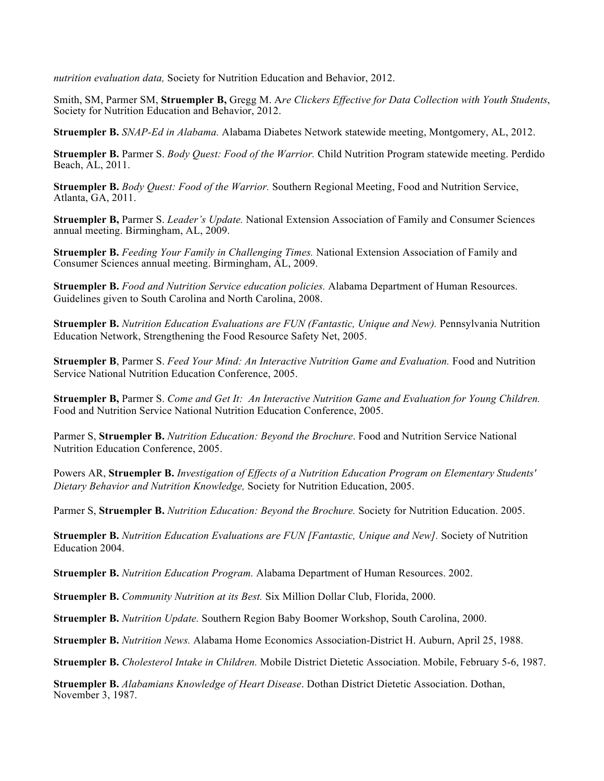*nutrition evaluation data,* Society for Nutrition Education and Behavior, 2012.

Smith, SM, Parmer SM, **Struempler B,** Gregg M. A*re Clickers Effective for Data Collection with Youth Students*, Society for Nutrition Education and Behavior, 2012.

**Struempler B.** *SNAP-Ed in Alabama.* Alabama Diabetes Network statewide meeting, Montgomery, AL, 2012.

**Struempler B.** Parmer S. *Body Quest: Food of the Warrior.* Child Nutrition Program statewide meeting. Perdido Beach, AL, 2011.

**Struempler B.** *Body Quest: Food of the Warrior.* Southern Regional Meeting, Food and Nutrition Service, Atlanta, GA, 2011.

**Struempler B,** Parmer S. *Leader's Update.* National Extension Association of Family and Consumer Sciences annual meeting. Birmingham, AL, 2009.

**Struempler B.** *Feeding Your Family in Challenging Times.* National Extension Association of Family and Consumer Sciences annual meeting. Birmingham, AL, 2009.

**Struempler B.** *Food and Nutrition Service education policies.* Alabama Department of Human Resources. Guidelines given to South Carolina and North Carolina, 2008.

**Struempler B.** *Nutrition Education Evaluations are FUN (Fantastic, Unique and New).* Pennsylvania Nutrition Education Network, Strengthening the Food Resource Safety Net, 2005.

**Struempler B**, Parmer S. *Feed Your Mind: An Interactive Nutrition Game and Evaluation.* Food and Nutrition Service National Nutrition Education Conference, 2005.

**Struempler B,** Parmer S. *Come and Get It: An Interactive Nutrition Game and Evaluation for Young Children.* Food and Nutrition Service National Nutrition Education Conference, 2005.

Parmer S, **Struempler B.** *Nutrition Education: Beyond the Brochure*. Food and Nutrition Service National Nutrition Education Conference, 2005.

Powers AR, **Struempler B.** *Investigation of Effects of a Nutrition Education Program on Elementary Students' Dietary Behavior and Nutrition Knowledge,* Society for Nutrition Education, 2005.

Parmer S, **Struempler B.** *Nutrition Education: Beyond the Brochure.* Society for Nutrition Education. 2005.

**Struempler B.** *Nutrition Education Evaluations are FUN [Fantastic, Unique and New].* Society of Nutrition Education 2004.

**Struempler B.** *Nutrition Education Program.* Alabama Department of Human Resources. 2002.

**Struempler B.** *Community Nutrition at its Best.* Six Million Dollar Club, Florida, 2000.

**Struempler B.** *Nutrition Update.* Southern Region Baby Boomer Workshop, South Carolina, 2000.

**Struempler B.** *Nutrition News.* Alabama Home Economics Association-District H. Auburn, April 25, 1988.

**Struempler B.** *Cholesterol Intake in Children.* Mobile District Dietetic Association. Mobile, February 5-6, 1987.

**Struempler B.** *Alabamians Knowledge of Heart Disease*. Dothan District Dietetic Association. Dothan, November 3, 1987.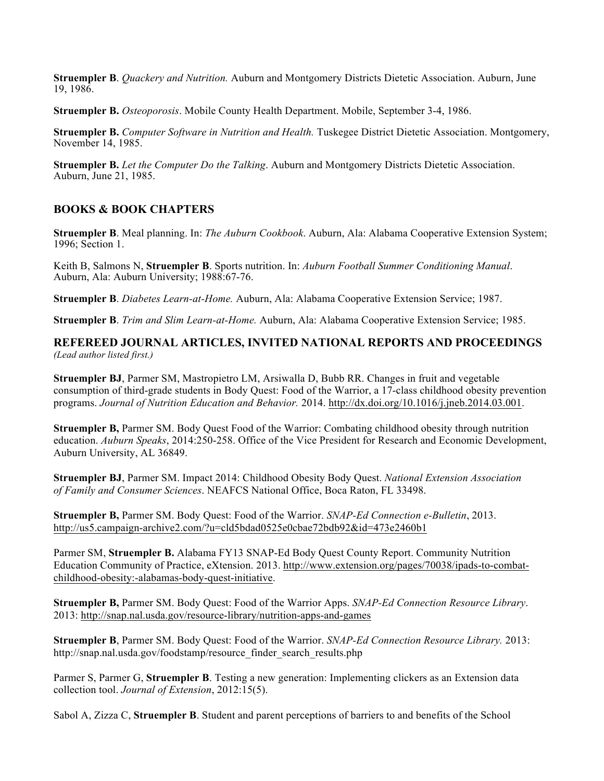**Struempler B**. *Quackery and Nutrition.* Auburn and Montgomery Districts Dietetic Association. Auburn, June 19, 1986.

**Struempler B.** *Osteoporosis*. Mobile County Health Department. Mobile, September 3-4, 1986.

**Struempler B.** *Computer Software in Nutrition and Health.* Tuskegee District Dietetic Association. Montgomery, November 14, 1985.

**Struempler B.** *Let the Computer Do the Talking*. Auburn and Montgomery Districts Dietetic Association. Auburn, June 21, 1985.

# **BOOKS & BOOK CHAPTERS**

**Struempler B**. Meal planning. In: *The Auburn Cookbook*. Auburn, Ala: Alabama Cooperative Extension System; 1996; Section 1.

Keith B, Salmons N, **Struempler B**. Sports nutrition. In: *Auburn Football Summer Conditioning Manual*. Auburn, Ala: Auburn University; 1988:67-76.

**Struempler B**. *Diabetes Learn-at-Home.* Auburn, Ala: Alabama Cooperative Extension Service; 1987.

**Struempler B**. *Trim and Slim Learn-at-Home.* Auburn, Ala: Alabama Cooperative Extension Service; 1985.

**REFEREED JOURNAL ARTICLES, INVITED NATIONAL REPORTS AND PROCEEDINGS** *(Lead author listed first.)*

**Struempler BJ**, Parmer SM, Mastropietro LM, Arsiwalla D, Bubb RR. Changes in fruit and vegetable consumption of third-grade students in Body Quest: Food of the Warrior, a 17-class childhood obesity prevention programs. *Journal of Nutrition Education and Behavior.* 2014. http://dx.doi.org/10.1016/j.jneb.2014.03.001.

**Struempler B,** Parmer SM. Body Quest Food of the Warrior: Combating childhood obesity through nutrition education. *Auburn Speaks*, 2014:250-258. Office of the Vice President for Research and Economic Development, Auburn University, AL 36849.

**Struempler BJ**, Parmer SM. Impact 2014: Childhood Obesity Body Quest. *National Extension Association of Family and Consumer Sciences*. NEAFCS National Office, Boca Raton, FL 33498.

**Struempler B,** Parmer SM. Body Quest: Food of the Warrior. *SNAP-Ed Connection e-Bulletin*, 2013. http://us5.campaign-archive2.com/?u=cld5bdad0525e0cbae72bdb92&id=473e2460b1

Parmer SM, **Struempler B.** Alabama FY13 SNAP-Ed Body Quest County Report. Community Nutrition Education Community of Practice, eXtension. 2013. http://www.extension.org/pages/70038/ipads-to-combatchildhood-obesity:-alabamas-body-quest-initiative.

**Struempler B,** Parmer SM. Body Quest: Food of the Warrior Apps. *SNAP-Ed Connection Resource Library*. 2013: http://snap.nal.usda.gov/resource-library/nutrition-apps-and-games

**Struempler B**, Parmer SM. Body Quest: Food of the Warrior. *SNAP-Ed Connection Resource Library.* 2013: http://snap.nal.usda.gov/foodstamp/resource\_finder\_search\_results.php

Parmer S, Parmer G, **Struempler B**. Testing a new generation: Implementing clickers as an Extension data collection tool. *Journal of Extension*, 2012:15(5).

Sabol A, Zizza C, **Struempler B**. Student and parent perceptions of barriers to and benefits of the School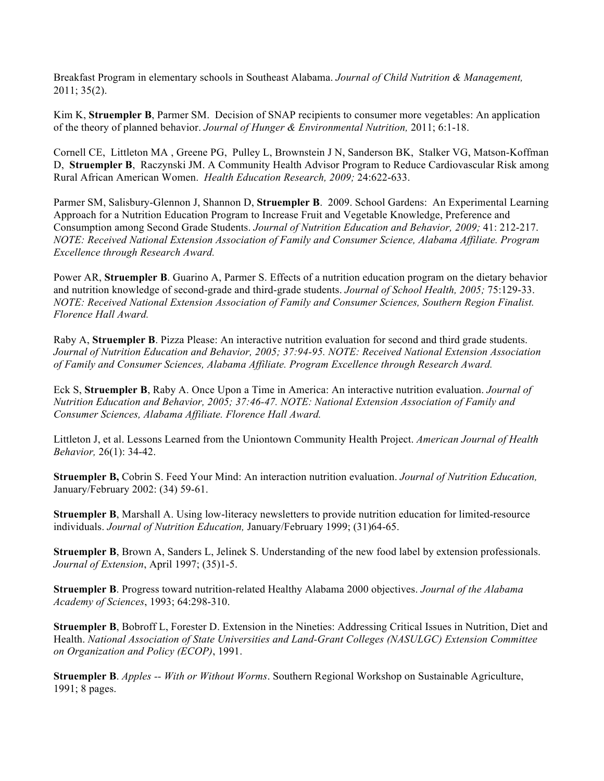Breakfast Program in elementary schools in Southeast Alabama. *Journal of Child Nutrition & Management,* 2011; 35(2).

Kim K, **Struempler B**, Parmer SM. Decision of SNAP recipients to consumer more vegetables: An application of the theory of planned behavior. *Journal of Hunger & Environmental Nutrition,* 2011; 6:1-18.

Cornell CE, Littleton MA , Greene PG, Pulley L, Brownstein J N, Sanderson BK, Stalker VG, Matson-Koffman D, **Struempler B**, Raczynski JM. A Community Health Advisor Program to Reduce Cardiovascular Risk among Rural African American Women. *Health Education Research, 2009;* 24:622-633.

Parmer SM, Salisbury-Glennon J, Shannon D, **Struempler B**. 2009. School Gardens: An Experimental Learning Approach for a Nutrition Education Program to Increase Fruit and Vegetable Knowledge, Preference and Consumption among Second Grade Students. *Journal of Nutrition Education and Behavior, 2009;* 41: 212-217. *NOTE: Received National Extension Association of Family and Consumer Science, Alabama Affiliate. Program Excellence through Research Award.*

Power AR, **Struempler B**. Guarino A, Parmer S. Effects of a nutrition education program on the dietary behavior and nutrition knowledge of second-grade and third-grade students. *Journal of School Health, 2005;* 75:129-33. *NOTE: Received National Extension Association of Family and Consumer Sciences, Southern Region Finalist. Florence Hall Award.*

Raby A, **Struempler B**. Pizza Please: An interactive nutrition evaluation for second and third grade students. *Journal of Nutrition Education and Behavior, 2005; 37:94-95. NOTE: Received National Extension Association of Family and Consumer Sciences, Alabama Affiliate. Program Excellence through Research Award.*

Eck S, **Struempler B**, Raby A. Once Upon a Time in America: An interactive nutrition evaluation. *Journal of Nutrition Education and Behavior, 2005; 37:46-47. NOTE: National Extension Association of Family and Consumer Sciences, Alabama Affiliate. Florence Hall Award.*

Littleton J, et al. Lessons Learned from the Uniontown Community Health Project. *American Journal of Health Behavior,* 26(1): 34-42.

**Struempler B,** Cobrin S. Feed Your Mind: An interaction nutrition evaluation. *Journal of Nutrition Education,* January/February 2002: (34) 59-61.

**Struempler B**, Marshall A. Using low-literacy newsletters to provide nutrition education for limited-resource individuals. *Journal of Nutrition Education,* January/February 1999; (31)64-65.

**Struempler B**, Brown A, Sanders L, Jelinek S. Understanding of the new food label by extension professionals. *Journal of Extension*, April 1997; (35)1-5.

**Struempler B**. Progress toward nutrition-related Healthy Alabama 2000 objectives. *Journal of the Alabama Academy of Sciences*, 1993; 64:298-310.

**Struempler B**, Bobroff L, Forester D. Extension in the Nineties: Addressing Critical Issues in Nutrition, Diet and Health. *National Association of State Universities and Land-Grant Colleges (NASULGC) Extension Committee on Organization and Policy (ECOP)*, 1991.

**Struempler B**. *Apples -- With or Without Worms*. Southern Regional Workshop on Sustainable Agriculture, 1991; 8 pages.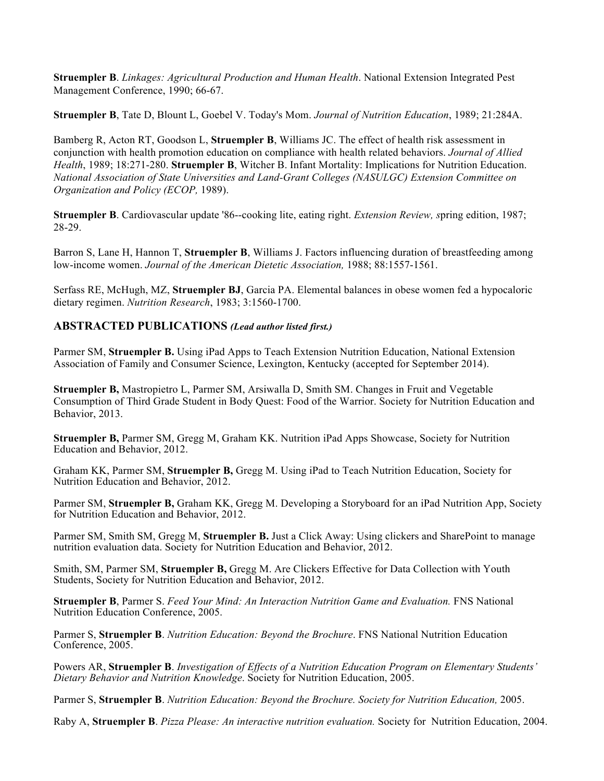**Struempler B**. *Linkages: Agricultural Production and Human Health*. National Extension Integrated Pest Management Conference, 1990; 66-67.

**Struempler B**, Tate D, Blount L, Goebel V. Today's Mom. *Journal of Nutrition Education*, 1989; 21:284A.

Bamberg R, Acton RT, Goodson L, **Struempler B**, Williams JC. The effect of health risk assessment in conjunction with health promotion education on compliance with health related behaviors. *Journal of Allied Health*, 1989; 18:271-280. **Struempler B**, Witcher B. Infant Mortality: Implications for Nutrition Education. *National Association of State Universities and Land-Grant Colleges (NASULGC) Extension Committee on Organization and Policy (ECOP,* 1989).

**Struempler B**. Cardiovascular update '86--cooking lite, eating right. *Extension Review, s*pring edition, 1987; 28-29.

Barron S, Lane H, Hannon T, **Struempler B**, Williams J. Factors influencing duration of breastfeeding among low-income women. *Journal of the American Dietetic Association,* 1988; 88:1557-1561.

Serfass RE, McHugh, MZ, **Struempler BJ**, Garcia PA. Elemental balances in obese women fed a hypocaloric dietary regimen. *Nutrition Research*, 1983; 3:1560-1700.

# **ABSTRACTED PUBLICATIONS** *(Lead author listed first.)*

Parmer SM, **Struempler B.** Using iPad Apps to Teach Extension Nutrition Education, National Extension Association of Family and Consumer Science, Lexington, Kentucky (accepted for September 2014).

**Struempler B,** Mastropietro L, Parmer SM, Arsiwalla D, Smith SM. Changes in Fruit and Vegetable Consumption of Third Grade Student in Body Quest: Food of the Warrior. Society for Nutrition Education and Behavior, 2013.

**Struempler B,** Parmer SM, Gregg M, Graham KK. Nutrition iPad Apps Showcase, Society for Nutrition Education and Behavior, 2012.

Graham KK, Parmer SM, **Struempler B,** Gregg M. Using iPad to Teach Nutrition Education, Society for Nutrition Education and Behavior, 2012.

Parmer SM, **Struempler B,** Graham KK, Gregg M. Developing a Storyboard for an iPad Nutrition App, Society for Nutrition Education and Behavior, 2012.

Parmer SM, Smith SM, Gregg M, **Struempler B.** Just a Click Away: Using clickers and SharePoint to manage nutrition evaluation data. Society for Nutrition Education and Behavior, 2012.

Smith, SM, Parmer SM, **Struempler B,** Gregg M. Are Clickers Effective for Data Collection with Youth Students, Society for Nutrition Education and Behavior, 2012.

**Struempler B**, Parmer S. *Feed Your Mind: An Interaction Nutrition Game and Evaluation.* FNS National Nutrition Education Conference, 2005.

Parmer S, **Struempler B**. *Nutrition Education: Beyond the Brochure*. FNS National Nutrition Education Conference, 2005.

Powers AR, **Struempler B**. *Investigation of Effects of a Nutrition Education Program on Elementary Students' Dietary Behavior and Nutrition Knowledge*. Society for Nutrition Education, 2005.

Parmer S, **Struempler B**. *Nutrition Education: Beyond the Brochure. Society for Nutrition Education,* 2005.

Raby A, **Struempler B**. *Pizza Please: An interactive nutrition evaluation.* Society for Nutrition Education, 2004.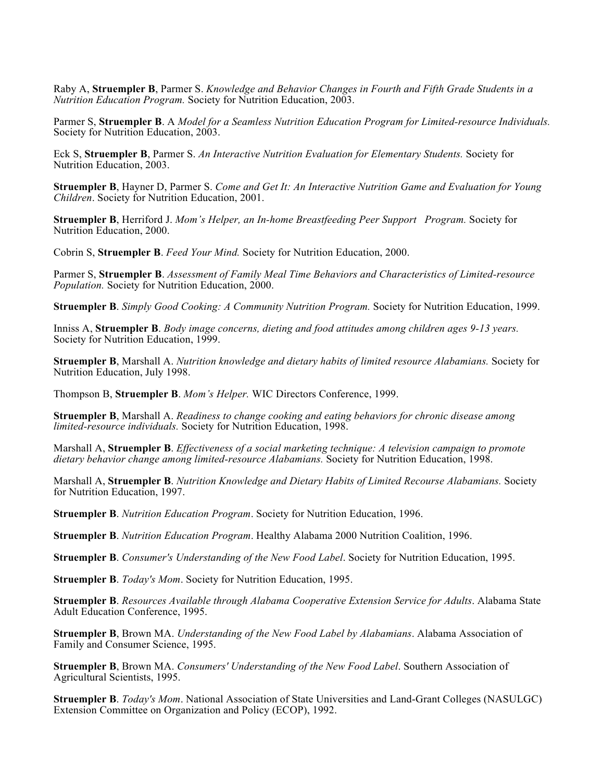Raby A, **Struempler B**, Parmer S. *Knowledge and Behavior Changes in Fourth and Fifth Grade Students in a Nutrition Education Program.* Society for Nutrition Education, 2003.

Parmer S, **Struempler B**. A *Model for a Seamless Nutrition Education Program for Limited-resource Individuals.* Society for Nutrition Education, 2003.

Eck S, **Struempler B**, Parmer S. *An Interactive Nutrition Evaluation for Elementary Students.* Society for Nutrition Education, 2003.

**Struempler B**, Hayner D, Parmer S. *Come and Get It: An Interactive Nutrition Game and Evaluation for Young Children*. Society for Nutrition Education, 2001.

**Struempler B**, Herriford J. *Mom's Helper, an In-home Breastfeeding Peer Support Program.* Society for Nutrition Education, 2000.

Cobrin S, **Struempler B**. *Feed Your Mind.* Society for Nutrition Education, 2000.

Parmer S, **Struempler B**. *Assessment of Family Meal Time Behaviors and Characteristics of Limited-resource Population.* Society for Nutrition Education, 2000.

**Struempler B**. *Simply Good Cooking: A Community Nutrition Program.* Society for Nutrition Education, 1999.

Inniss A, **Struempler B**. *Body image concerns, dieting and food attitudes among children ages 9-13 years.* Society for Nutrition Education, 1999.

**Struempler B**, Marshall A. *Nutrition knowledge and dietary habits of limited resource Alabamians.* Society for Nutrition Education, July 1998.

Thompson B, **Struempler B**. *Mom's Helper.* WIC Directors Conference, 1999.

**Struempler B**, Marshall A. *Readiness to change cooking and eating behaviors for chronic disease among limited-resource individuals.* Society for Nutrition Education, 1998.

Marshall A, **Struempler B**. *Effectiveness of a social marketing technique: A television campaign to promote dietary behavior change among limited-resource Alabamians.* Society for Nutrition Education, 1998.

Marshall A, **Struempler B**. *Nutrition Knowledge and Dietary Habits of Limited Recourse Alabamians.* Society for Nutrition Education, 1997.

**Struempler B**. *Nutrition Education Program*. Society for Nutrition Education, 1996.

**Struempler B**. *Nutrition Education Program*. Healthy Alabama 2000 Nutrition Coalition, 1996.

**Struempler B**. *Consumer's Understanding of the New Food Label*. Society for Nutrition Education, 1995.

**Struempler B**. *Today's Mom*. Society for Nutrition Education, 1995.

**Struempler B**. *Resources Available through Alabama Cooperative Extension Service for Adults*. Alabama State Adult Education Conference, 1995.

**Struempler B**, Brown MA. *Understanding of the New Food Label by Alabamians*. Alabama Association of Family and Consumer Science, 1995.

**Struempler B**, Brown MA. *Consumers' Understanding of the New Food Label*. Southern Association of Agricultural Scientists, 1995.

**Struempler B**. *Today's Mom*. National Association of State Universities and Land-Grant Colleges (NASULGC) Extension Committee on Organization and Policy (ECOP), 1992.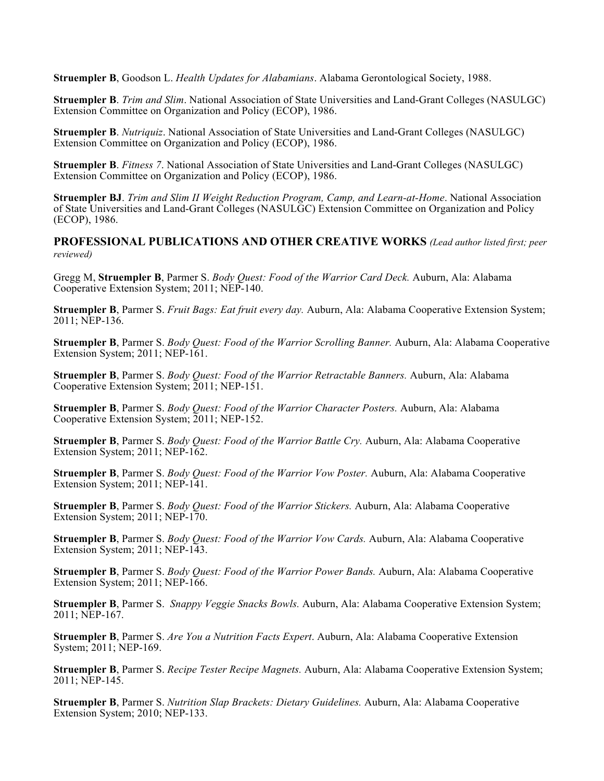**Struempler B**, Goodson L. *Health Updates for Alabamians*. Alabama Gerontological Society, 1988.

**Struempler B**. *Trim and Slim*. National Association of State Universities and Land-Grant Colleges (NASULGC) Extension Committee on Organization and Policy (ECOP), 1986.

**Struempler B**. *Nutriquiz*. National Association of State Universities and Land-Grant Colleges (NASULGC) Extension Committee on Organization and Policy (ECOP), 1986.

**Struempler B**. *Fitness 7*. National Association of State Universities and Land-Grant Colleges (NASULGC) Extension Committee on Organization and Policy (ECOP), 1986.

**Struempler BJ**. *Trim and Slim II Weight Reduction Program, Camp, and Learn-at-Home*. National Association of State Universities and Land-Grant Colleges (NASULGC) Extension Committee on Organization and Policy (ECOP), 1986.

**PROFESSIONAL PUBLICATIONS AND OTHER CREATIVE WORKS** *(Lead author listed first; peer reviewed)*

Gregg M, **Struempler B**, Parmer S. *Body Quest: Food of the Warrior Card Deck.* Auburn, Ala: Alabama Cooperative Extension System; 2011; NEP-140.

**Struempler B**, Parmer S. *Fruit Bags: Eat fruit every day.* Auburn, Ala: Alabama Cooperative Extension System; 2011; NEP-136.

**Struempler B**, Parmer S. *Body Quest: Food of the Warrior Scrolling Banner.* Auburn, Ala: Alabama Cooperative Extension System; 2011; NEP-161.

**Struempler B**, Parmer S. *Body Quest: Food of the Warrior Retractable Banners.* Auburn, Ala: Alabama Cooperative Extension System; 2011; NEP-151.

**Struempler B**, Parmer S. *Body Quest: Food of the Warrior Character Posters.* Auburn, Ala: Alabama Cooperative Extension System; 2011; NEP-152.

**Struempler B**, Parmer S. *Body Quest: Food of the Warrior Battle Cry.* Auburn, Ala: Alabama Cooperative Extension System; 2011; NEP-162.

**Struempler B**, Parmer S. *Body Quest: Food of the Warrior Vow Poster.* Auburn, Ala: Alabama Cooperative Extension System; 2011; NEP-141.

**Struempler B**, Parmer S. *Body Quest: Food of the Warrior Stickers.* Auburn, Ala: Alabama Cooperative Extension System; 2011; NEP-170.

**Struempler B**, Parmer S. *Body Quest: Food of the Warrior Vow Cards.* Auburn, Ala: Alabama Cooperative Extension System; 2011; NEP-143.

**Struempler B**, Parmer S. *Body Quest: Food of the Warrior Power Bands.* Auburn, Ala: Alabama Cooperative Extension System; 2011; NEP-166.

**Struempler B**, Parmer S. *Snappy Veggie Snacks Bowls.* Auburn, Ala: Alabama Cooperative Extension System; 2011; NEP-167.

**Struempler B**, Parmer S. *Are You a Nutrition Facts Expert*. Auburn, Ala: Alabama Cooperative Extension System; 2011; NEP-169.

**Struempler B**, Parmer S. *Recipe Tester Recipe Magnets.* Auburn, Ala: Alabama Cooperative Extension System; 2011; NEP-145.

**Struempler B**, Parmer S. *Nutrition Slap Brackets: Dietary Guidelines.* Auburn, Ala: Alabama Cooperative Extension System; 2010; NEP-133.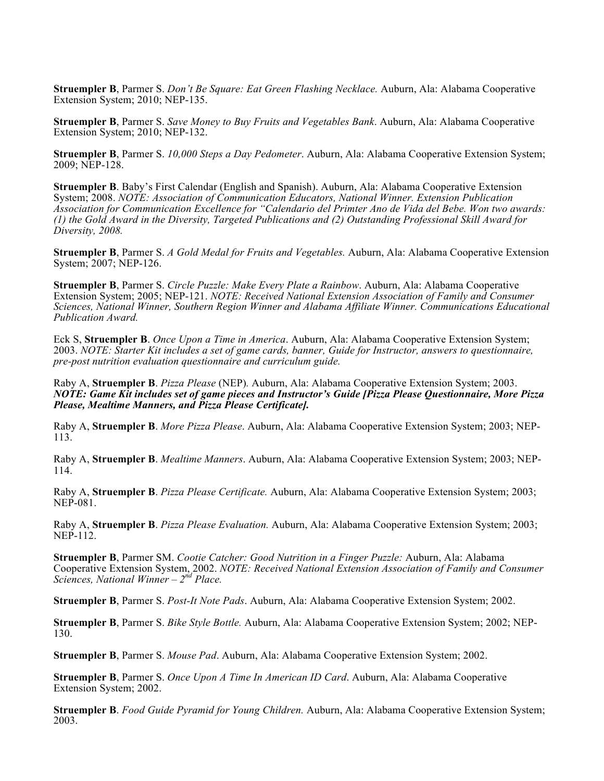**Struempler B**, Parmer S. *Don't Be Square: Eat Green Flashing Necklace.* Auburn, Ala: Alabama Cooperative Extension System; 2010; NEP-135.

**Struempler B**, Parmer S. *Save Money to Buy Fruits and Vegetables Bank*. Auburn, Ala: Alabama Cooperative Extension System; 2010; NEP-132.

**Struempler B**, Parmer S. *10,000 Steps a Day Pedometer*. Auburn, Ala: Alabama Cooperative Extension System; 2009; NEP-128.

**Struempler B**. Baby's First Calendar (English and Spanish). Auburn, Ala: Alabama Cooperative Extension System; 2008. *NOTE: Association of Communication Educators, National Winner. Extension Publication Association for Communication Excellence for "Calendario del Primter Ano de Vida del Bebe. Won two awards: (1) the Gold Award in the Diversity, Targeted Publications and (2) Outstanding Professional Skill Award for Diversity, 2008.*

**Struempler B**, Parmer S. *A Gold Medal for Fruits and Vegetables.* Auburn, Ala: Alabama Cooperative Extension System; 2007; NEP-126.

**Struempler B**, Parmer S. *Circle Puzzle: Make Every Plate a Rainbow*. Auburn, Ala: Alabama Cooperative Extension System; 2005; NEP-121. *NOTE: Received National Extension Association of Family and Consumer Sciences, National Winner, Southern Region Winner and Alabama Affiliate Winner. Communications Educational Publication Award.*

Eck S, **Struempler B**. *Once Upon a Time in America*. Auburn, Ala: Alabama Cooperative Extension System; 2003. *NOTE: Starter Kit includes a set of game cards, banner, Guide for Instructor, answers to questionnaire, pre-post nutrition evaluation questionnaire and curriculum guide.*

Raby A, **Struempler B**. *Pizza Please* (NEP)*.* Auburn, Ala: Alabama Cooperative Extension System; 2003. *NOTE: Game Kit includes set of game pieces and Instructor's Guide [Pizza Please Questionnaire, More Pizza Please, Mealtime Manners, and Pizza Please Certificate].*

Raby A, **Struempler B**. *More Pizza Please*. Auburn, Ala: Alabama Cooperative Extension System; 2003; NEP-113.

Raby A, **Struempler B**. *Mealtime Manners*. Auburn, Ala: Alabama Cooperative Extension System; 2003; NEP-114.

Raby A, **Struempler B**. *Pizza Please Certificate.* Auburn, Ala: Alabama Cooperative Extension System; 2003; NEP-081.

Raby A, **Struempler B**. *Pizza Please Evaluation.* Auburn, Ala: Alabama Cooperative Extension System; 2003; NEP-112.

**Struempler B**, Parmer SM. *Cootie Catcher: Good Nutrition in a Finger Puzzle:* Auburn, Ala: Alabama Cooperative Extension System, 2002. *NOTE: Received National Extension Association of Family and Consumer Sciences, National Winner – 2nd Place.*

**Struempler B**, Parmer S. *Post-It Note Pads*. Auburn, Ala: Alabama Cooperative Extension System; 2002.

**Struempler B**, Parmer S. *Bike Style Bottle.* Auburn, Ala: Alabama Cooperative Extension System; 2002; NEP-130.

**Struempler B**, Parmer S. *Mouse Pad*. Auburn, Ala: Alabama Cooperative Extension System; 2002.

**Struempler B**, Parmer S. *Once Upon A Time In American ID Card*. Auburn, Ala: Alabama Cooperative Extension System; 2002.

**Struempler B**. *Food Guide Pyramid for Young Children.* Auburn, Ala: Alabama Cooperative Extension System; 2003.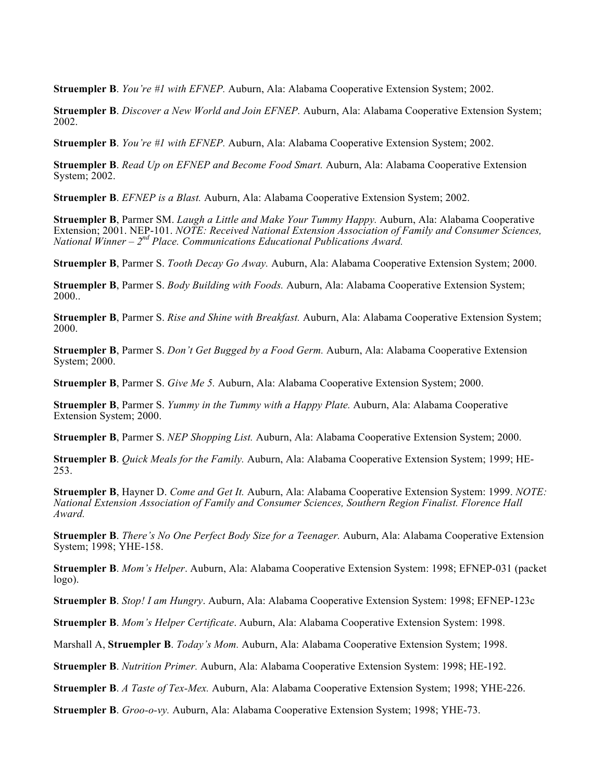**Struempler B**. *You're #1 with EFNEP.* Auburn, Ala: Alabama Cooperative Extension System; 2002.

**Struempler B**. *Discover a New World and Join EFNEP.* Auburn, Ala: Alabama Cooperative Extension System; 2002.

**Struempler B**. *You're #1 with EFNEP.* Auburn, Ala: Alabama Cooperative Extension System; 2002.

**Struempler B**. *Read Up on EFNEP and Become Food Smart.* Auburn, Ala: Alabama Cooperative Extension System; 2002.

**Struempler B**. *EFNEP is a Blast.* Auburn, Ala: Alabama Cooperative Extension System; 2002.

**Struempler B**, Parmer SM. *Laugh a Little and Make Your Tummy Happy.* Auburn, Ala: Alabama Cooperative Extension; 2001. NEP-101. *NOTE: Received National Extension Association of Family and Consumer Sciences, National Winner – 2nd Place. Communications Educational Publications Award.*

**Struempler B**, Parmer S. *Tooth Decay Go Away.* Auburn, Ala: Alabama Cooperative Extension System; 2000.

**Struempler B**, Parmer S. *Body Building with Foods.* Auburn, Ala: Alabama Cooperative Extension System; 2000..

**Struempler B**, Parmer S. *Rise and Shine with Breakfast.* Auburn, Ala: Alabama Cooperative Extension System; 2000.

**Struempler B**, Parmer S. *Don't Get Bugged by a Food Germ.* Auburn, Ala: Alabama Cooperative Extension System; 2000.

**Struempler B**, Parmer S. *Give Me 5.* Auburn, Ala: Alabama Cooperative Extension System; 2000.

**Struempler B**, Parmer S. *Yummy in the Tummy with a Happy Plate.* Auburn, Ala: Alabama Cooperative Extension System; 2000.

**Struempler B**, Parmer S. *NEP Shopping List.* Auburn, Ala: Alabama Cooperative Extension System; 2000.

**Struempler B**. *Quick Meals for the Family.* Auburn, Ala: Alabama Cooperative Extension System; 1999; HE-253.

**Struempler B**, Hayner D. *Come and Get It.* Auburn, Ala: Alabama Cooperative Extension System: 1999. *NOTE: National Extension Association of Family and Consumer Sciences, Southern Region Finalist. Florence Hall Award.*

**Struempler B**. *There's No One Perfect Body Size for a Teenager.* Auburn, Ala: Alabama Cooperative Extension System; 1998; YHE-158.

**Struempler B**. *Mom's Helper*. Auburn, Ala: Alabama Cooperative Extension System: 1998; EFNEP-031 (packet logo).

**Struempler B**. *Stop! I am Hungry*. Auburn, Ala: Alabama Cooperative Extension System: 1998; EFNEP-123c

**Struempler B**. *Mom's Helper Certificate*. Auburn, Ala: Alabama Cooperative Extension System: 1998.

Marshall A, **Struempler B**. *Today's Mom.* Auburn, Ala: Alabama Cooperative Extension System; 1998.

**Struempler B**. *Nutrition Primer.* Auburn, Ala: Alabama Cooperative Extension System: 1998; HE-192.

**Struempler B**. *A Taste of Tex-Mex.* Auburn, Ala: Alabama Cooperative Extension System; 1998; YHE-226.

**Struempler B**. *Groo-o-vy.* Auburn, Ala: Alabama Cooperative Extension System; 1998; YHE-73.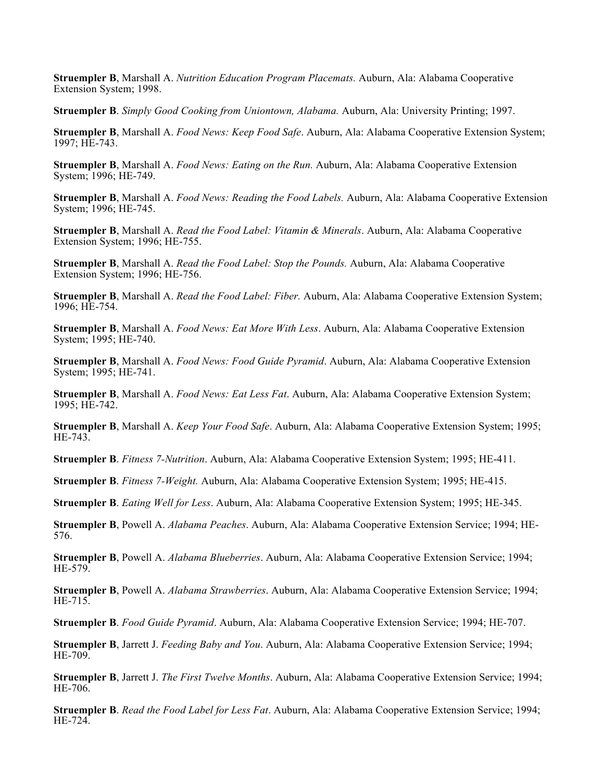**Struempler B**, Marshall A. *Nutrition Education Program Placemats.* Auburn, Ala: Alabama Cooperative Extension System; 1998.

**Struempler B**. *Simply Good Cooking from Uniontown, Alabama.* Auburn, Ala: University Printing; 1997.

**Struempler B**, Marshall A. *Food News: Keep Food Safe*. Auburn, Ala: Alabama Cooperative Extension System; 1997; HE-743.

**Struempler B**, Marshall A. *Food News: Eating on the Run.* Auburn, Ala: Alabama Cooperative Extension System; 1996; HE-749.

**Struempler B**, Marshall A. *Food News: Reading the Food Labels.* Auburn, Ala: Alabama Cooperative Extension System; 1996; HE-745.

**Struempler B**, Marshall A. *Read the Food Label: Vitamin & Minerals*. Auburn, Ala: Alabama Cooperative Extension System; 1996; HE-755.

**Struempler B**, Marshall A. *Read the Food Label: Stop the Pounds.* Auburn, Ala: Alabama Cooperative Extension System; 1996; HE-756.

**Struempler B**, Marshall A. *Read the Food Label: Fiber.* Auburn, Ala: Alabama Cooperative Extension System; 1996; HE-754.

**Struempler B**, Marshall A. *Food News: Eat More With Less*. Auburn, Ala: Alabama Cooperative Extension System; 1995; HE-740.

**Struempler B**, Marshall A. *Food News: Food Guide Pyramid*. Auburn, Ala: Alabama Cooperative Extension System; 1995; HE-741.

**Struempler B**, Marshall A. *Food News: Eat Less Fat*. Auburn, Ala: Alabama Cooperative Extension System; 1995; HE-742.

**Struempler B**, Marshall A. *Keep Your Food Safe*. Auburn, Ala: Alabama Cooperative Extension System; 1995; HE-743.

**Struempler B**. *Fitness 7-Nutrition*. Auburn, Ala: Alabama Cooperative Extension System; 1995; HE-411.

**Struempler B**. *Fitness 7-Weight.* Auburn, Ala: Alabama Cooperative Extension System; 1995; HE-415.

**Struempler B**. *Eating Well for Less*. Auburn, Ala: Alabama Cooperative Extension System; 1995; HE-345.

**Struempler B**, Powell A. *Alabama Peaches*. Auburn, Ala: Alabama Cooperative Extension Service; 1994; HE-576.

**Struempler B**, Powell A. *Alabama Blueberries*. Auburn, Ala: Alabama Cooperative Extension Service; 1994; HE-579.

**Struempler B**, Powell A. *Alabama Strawberries*. Auburn, Ala: Alabama Cooperative Extension Service; 1994; HE-715.

**Struempler B**. *Food Guide Pyramid*. Auburn, Ala: Alabama Cooperative Extension Service; 1994; HE-707.

**Struempler B**, Jarrett J. *Feeding Baby and You*. Auburn, Ala: Alabama Cooperative Extension Service; 1994; HE-709.

**Struempler B**, Jarrett J. *The First Twelve Months*. Auburn, Ala: Alabama Cooperative Extension Service; 1994; HE-706.

**Struempler B**. *Read the Food Label for Less Fat*. Auburn, Ala: Alabama Cooperative Extension Service; 1994; HE-724.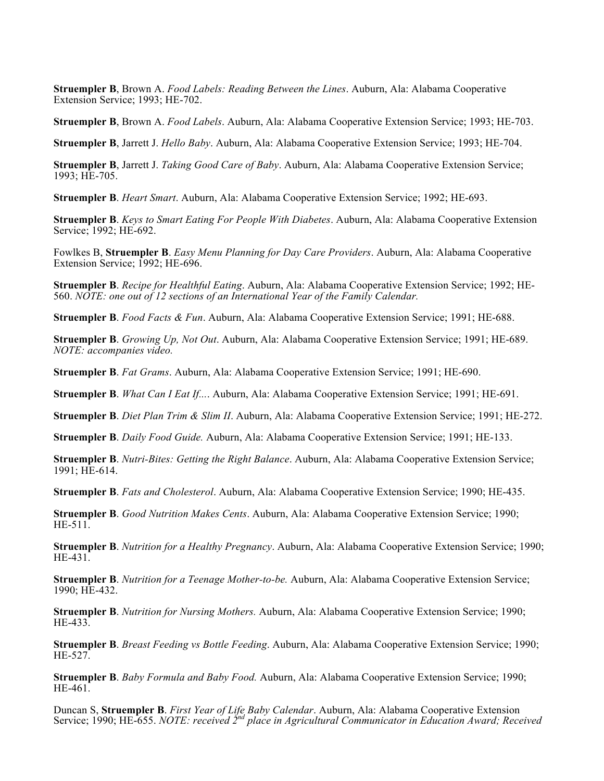**Struempler B**, Brown A. *Food Labels: Reading Between the Lines*. Auburn, Ala: Alabama Cooperative Extension Service; 1993; HE-702.

**Struempler B**, Brown A. *Food Labels*. Auburn, Ala: Alabama Cooperative Extension Service; 1993; HE-703.

**Struempler B**, Jarrett J. *Hello Baby*. Auburn, Ala: Alabama Cooperative Extension Service; 1993; HE-704.

**Struempler B**, Jarrett J. *Taking Good Care of Baby*. Auburn, Ala: Alabama Cooperative Extension Service; 1993; HE-705.

**Struempler B**. *Heart Smart*. Auburn, Ala: Alabama Cooperative Extension Service; 1992; HE-693.

**Struempler B**. *Keys to Smart Eating For People With Diabetes*. Auburn, Ala: Alabama Cooperative Extension Service; 1992; HE-692.

Fowlkes B, **Struempler B**. *Easy Menu Planning for Day Care Providers*. Auburn, Ala: Alabama Cooperative Extension Service; 1992; HE-696.

**Struempler B**. *Recipe for Healthful Eating*. Auburn, Ala: Alabama Cooperative Extension Service; 1992; HE-560. *NOTE: one out of 12 sections of an International Year of the Family Calendar.*

**Struempler B**. *Food Facts & Fun*. Auburn, Ala: Alabama Cooperative Extension Service; 1991; HE-688.

**Struempler B**. *Growing Up, Not Out*. Auburn, Ala: Alabama Cooperative Extension Service; 1991; HE-689. *NOTE: accompanies video.*

**Struempler B**. *Fat Grams*. Auburn, Ala: Alabama Cooperative Extension Service; 1991; HE-690.

**Struempler B**. *What Can I Eat If...*. Auburn, Ala: Alabama Cooperative Extension Service; 1991; HE-691.

**Struempler B**. *Diet Plan Trim & Slim II*. Auburn, Ala: Alabama Cooperative Extension Service; 1991; HE-272.

**Struempler B**. *Daily Food Guide.* Auburn, Ala: Alabama Cooperative Extension Service; 1991; HE-133.

**Struempler B**. *Nutri-Bites: Getting the Right Balance*. Auburn, Ala: Alabama Cooperative Extension Service; 1991; HE-614.

**Struempler B**. *Fats and Cholesterol*. Auburn, Ala: Alabama Cooperative Extension Service; 1990; HE-435.

**Struempler B**. *Good Nutrition Makes Cents*. Auburn, Ala: Alabama Cooperative Extension Service; 1990; HE-511.

**Struempler B**. *Nutrition for a Healthy Pregnancy*. Auburn, Ala: Alabama Cooperative Extension Service; 1990; HE-431.

**Struempler B**. *Nutrition for a Teenage Mother-to-be.* Auburn, Ala: Alabama Cooperative Extension Service; 1990; HE-432.

**Struempler B**. *Nutrition for Nursing Mothers.* Auburn, Ala: Alabama Cooperative Extension Service; 1990; HE-433.

**Struempler B**. *Breast Feeding vs Bottle Feeding*. Auburn, Ala: Alabama Cooperative Extension Service; 1990; HE-527.

**Struempler B**. *Baby Formula and Baby Food.* Auburn, Ala: Alabama Cooperative Extension Service; 1990; HE-461.

Duncan S, **Struempler B**. *First Year of Life Baby Calendar*. Auburn, Ala: Alabama Cooperative Extension Service; 1990; HE-655. *NOTE: received 2nd place in Agricultural Communicator in Education Award; Received*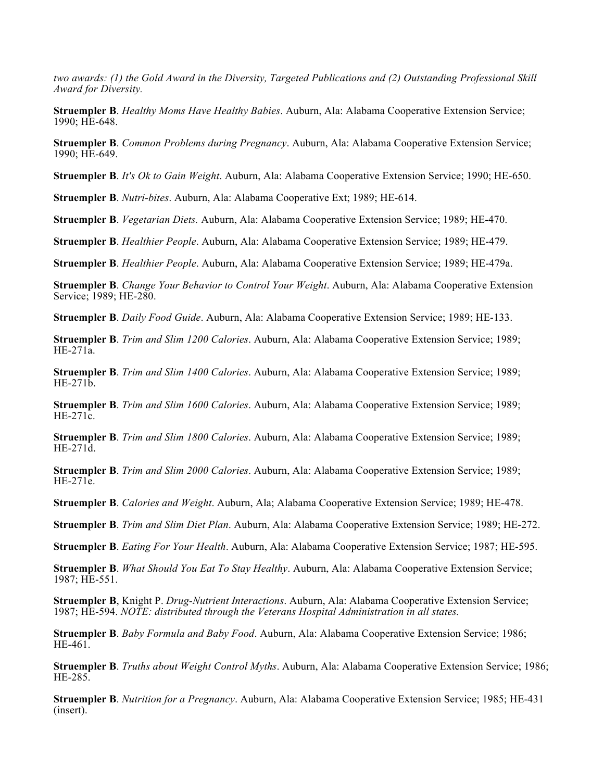*two awards: (1) the Gold Award in the Diversity, Targeted Publications and (2) Outstanding Professional Skill Award for Diversity.*

**Struempler B**. *Healthy Moms Have Healthy Babies*. Auburn, Ala: Alabama Cooperative Extension Service; 1990; HE-648.

**Struempler B**. *Common Problems during Pregnancy*. Auburn, Ala: Alabama Cooperative Extension Service; 1990; HE-649.

**Struempler B**. *It's Ok to Gain Weight*. Auburn, Ala: Alabama Cooperative Extension Service; 1990; HE-650.

**Struempler B**. *Nutri-bites*. Auburn, Ala: Alabama Cooperative Ext; 1989; HE-614.

**Struempler B**. *Vegetarian Diets.* Auburn, Ala: Alabama Cooperative Extension Service; 1989; HE-470.

**Struempler B**. *Healthier People*. Auburn, Ala: Alabama Cooperative Extension Service; 1989; HE-479.

**Struempler B**. *Healthier People*. Auburn, Ala: Alabama Cooperative Extension Service; 1989; HE-479a.

**Struempler B**. *Change Your Behavior to Control Your Weight*. Auburn, Ala: Alabama Cooperative Extension Service; 1989; HE-280.

**Struempler B**. *Daily Food Guide*. Auburn, Ala: Alabama Cooperative Extension Service; 1989; HE-133.

**Struempler B**. *Trim and Slim 1200 Calories*. Auburn, Ala: Alabama Cooperative Extension Service; 1989; HE-271a.

**Struempler B**. *Trim and Slim 1400 Calories*. Auburn, Ala: Alabama Cooperative Extension Service; 1989; HE-271b.

**Struempler B**. *Trim and Slim 1600 Calories*. Auburn, Ala: Alabama Cooperative Extension Service; 1989; HE-271c.

**Struempler B**. *Trim and Slim 1800 Calories*. Auburn, Ala: Alabama Cooperative Extension Service; 1989; HE-271d.

**Struempler B**. *Trim and Slim 2000 Calories*. Auburn, Ala: Alabama Cooperative Extension Service; 1989; HE-271e.

**Struempler B**. *Calories and Weight*. Auburn, Ala; Alabama Cooperative Extension Service; 1989; HE-478.

**Struempler B**. *Trim and Slim Diet Plan*. Auburn, Ala: Alabama Cooperative Extension Service; 1989; HE-272.

**Struempler B**. *Eating For Your Health*. Auburn, Ala: Alabama Cooperative Extension Service; 1987; HE-595.

**Struempler B**. *What Should You Eat To Stay Healthy*. Auburn, Ala: Alabama Cooperative Extension Service; 1987; HE-551.

**Struempler B**, Knight P. *Drug-Nutrient Interactions*. Auburn, Ala: Alabama Cooperative Extension Service; 1987; HE-594. *NOTE: distributed through the Veterans Hospital Administration in all states.*

**Struempler B**. *Baby Formula and Baby Food*. Auburn, Ala: Alabama Cooperative Extension Service; 1986; HE-461.

**Struempler B**. *Truths about Weight Control Myths*. Auburn, Ala: Alabama Cooperative Extension Service; 1986; HE-285.

**Struempler B**. *Nutrition for a Pregnancy*. Auburn, Ala: Alabama Cooperative Extension Service; 1985; HE-431 (insert).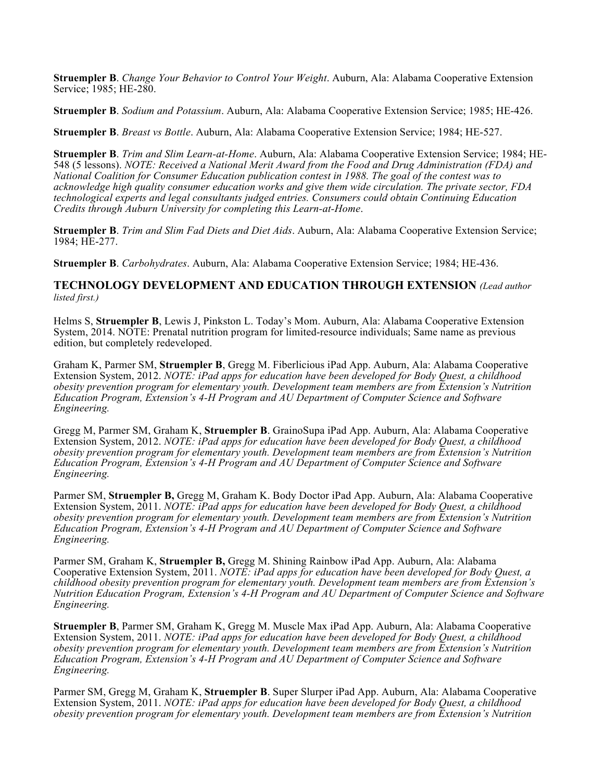**Struempler B**. *Change Your Behavior to Control Your Weight*. Auburn, Ala: Alabama Cooperative Extension Service; 1985; HE-280.

**Struempler B**. *Sodium and Potassium*. Auburn, Ala: Alabama Cooperative Extension Service; 1985; HE-426.

**Struempler B**. *Breast vs Bottle*. Auburn, Ala: Alabama Cooperative Extension Service; 1984; HE-527.

**Struempler B**. *Trim and Slim Learn-at-Home*. Auburn, Ala: Alabama Cooperative Extension Service; 1984; HE-548 (5 lessons). *NOTE: Received a National Merit Award from the Food and Drug Administration (FDA) and National Coalition for Consumer Education publication contest in 1988. The goal of the contest was to acknowledge high quality consumer education works and give them wide circulation. The private sector, FDA technological experts and legal consultants judged entries. Consumers could obtain Continuing Education Credits through Auburn University for completing this Learn-at-Home*.

**Struempler B**. *Trim and Slim Fad Diets and Diet Aids*. Auburn, Ala: Alabama Cooperative Extension Service; 1984; HE-277.

**Struempler B**. *Carbohydrates*. Auburn, Ala: Alabama Cooperative Extension Service; 1984; HE-436.

**TECHNOLOGY DEVELOPMENT AND EDUCATION THROUGH EXTENSION** *(Lead author listed first.)*

Helms S, **Struempler B**, Lewis J, Pinkston L. Today's Mom. Auburn, Ala: Alabama Cooperative Extension System, 2014. NOTE: Prenatal nutrition program for limited-resource individuals; Same name as previous edition, but completely redeveloped.

Graham K, Parmer SM, **Struempler B**, Gregg M. Fiberlicious iPad App. Auburn, Ala: Alabama Cooperative Extension System, 2012. *NOTE: iPad apps for education have been developed for Body Quest, a childhood obesity prevention program for elementary youth. Development team members are from Extension's Nutrition Education Program, Extension's 4-H Program and AU Department of Computer Science and Software Engineering.*

Gregg M, Parmer SM, Graham K, **Struempler B**. GrainoSupa iPad App. Auburn, Ala: Alabama Cooperative Extension System, 2012. *NOTE: iPad apps for education have been developed for Body Quest, a childhood obesity prevention program for elementary youth. Development team members are from Extension's Nutrition Education Program, Extension's 4-H Program and AU Department of Computer Science and Software Engineering.*

Parmer SM, **Struempler B,** Gregg M, Graham K. Body Doctor iPad App. Auburn, Ala: Alabama Cooperative Extension System, 2011. *NOTE: iPad apps for education have been developed for Body Quest, a childhood obesity prevention program for elementary youth. Development team members are from Extension's Nutrition Education Program, Extension's 4-H Program and AU Department of Computer Science and Software Engineering.*

Parmer SM, Graham K, **Struempler B,** Gregg M. Shining Rainbow iPad App. Auburn, Ala: Alabama Cooperative Extension System, 2011. *NOTE: iPad apps for education have been developed for Body Quest, a childhood obesity prevention program for elementary youth. Development team members are from Extension's Nutrition Education Program, Extension's 4-H Program and AU Department of Computer Science and Software Engineering.*

**Struempler B**, Parmer SM, Graham K, Gregg M. Muscle Max iPad App. Auburn, Ala: Alabama Cooperative Extension System, 2011. *NOTE: iPad apps for education have been developed for Body Quest, a childhood obesity prevention program for elementary youth. Development team members are from Extension's Nutrition Education Program, Extension's 4-H Program and AU Department of Computer Science and Software Engineering.*

Parmer SM, Gregg M, Graham K, **Struempler B**. Super Slurper iPad App. Auburn, Ala: Alabama Cooperative Extension System, 2011. *NOTE: iPad apps for education have been developed for Body Quest, a childhood obesity prevention program for elementary youth. Development team members are from Extension's Nutrition*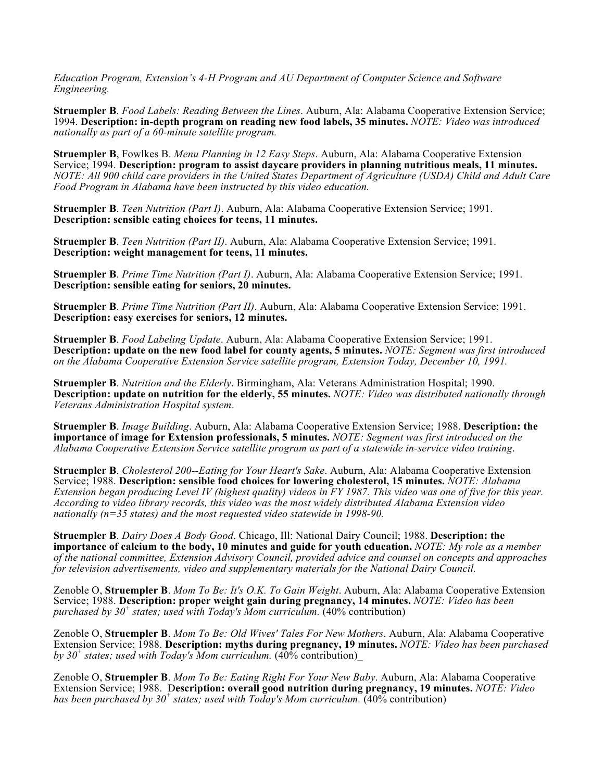*Education Program, Extension's 4-H Program and AU Department of Computer Science and Software Engineering.*

**Struempler B**. *Food Labels: Reading Between the Lines*. Auburn, Ala: Alabama Cooperative Extension Service; 1994. **Description: in-depth program on reading new food labels, 35 minutes.** *NOTE: Video was introduced nationally as part of a 60-minute satellite program.*

**Struempler B**, Fowlkes B. *Menu Planning in 12 Easy Steps*. Auburn, Ala: Alabama Cooperative Extension Service; 1994. **Description: program to assist daycare providers in planning nutritious meals, 11 minutes.** *NOTE: All 900 child care providers in the United States Department of Agriculture (USDA) Child and Adult Care Food Program in Alabama have been instructed by this video education.*

**Struempler B**. *Teen Nutrition (Part I)*. Auburn, Ala: Alabama Cooperative Extension Service; 1991. **Description: sensible eating choices for teens, 11 minutes.**

**Struempler B**. *Teen Nutrition (Part II)*. Auburn, Ala: Alabama Cooperative Extension Service; 1991. **Description: weight management for teens, 11 minutes.**

**Struempler B**. *Prime Time Nutrition (Part I)*. Auburn, Ala: Alabama Cooperative Extension Service; 1991. **Description: sensible eating for seniors, 20 minutes.**

**Struempler B**. *Prime Time Nutrition (Part II)*. Auburn, Ala: Alabama Cooperative Extension Service; 1991. **Description: easy exercises for seniors, 12 minutes.**

**Struempler B**. *Food Labeling Update*. Auburn, Ala: Alabama Cooperative Extension Service; 1991. **Description: update on the new food label for county agents, 5 minutes.** *NOTE: Segment was first introduced on the Alabama Cooperative Extension Service satellite program, Extension Today, December 10, 1991.*

**Struempler B**. *Nutrition and the Elderly*. Birmingham, Ala: Veterans Administration Hospital; 1990. **Description: update on nutrition for the elderly, 55 minutes.** *NOTE: Video was distributed nationally through Veterans Administration Hospital system*.

**Struempler B**. *Image Building*. Auburn, Ala: Alabama Cooperative Extension Service; 1988. **Description: the importance of image for Extension professionals, 5 minutes.** *NOTE: Segment was first introduced on the Alabama Cooperative Extension Service satellite program as part of a statewide in-service video training*.

**Struempler B**. *Cholesterol 200--Eating for Your Heart's Sake*. Auburn, Ala: Alabama Cooperative Extension Service; 1988. **Description: sensible food choices for lowering cholesterol, 15 minutes.** *NOTE: Alabama Extension began producing Level IV (highest quality) videos in FY 1987. This video was one of five for this year. According to video library records, this video was the most widely distributed Alabama Extension video nationally (n=35 states) and the most requested video statewide in 1998-90.* 

**Struempler B**. *Dairy Does A Body Good*. Chicago, Ill: National Dairy Council; 1988. **Description: the importance of calcium to the body, 10 minutes and guide for youth education.** *NOTE: My role as a member of the national committee, Extension Advisory Council, provided advice and counsel on concepts and approaches for television advertisements, video and supplementary materials for the National Dairy Council.* 

Zenoble O, **Struempler B**. *Mom To Be: It's O.K. To Gain Weight*. Auburn, Ala: Alabama Cooperative Extension Service; 1988. **Description: proper weight gain during pregnancy, 14 minutes.** *NOTE: Video has been purchased by 30<sup>+</sup> states; used with Today's Mom curriculum.* (40% contribution)

Zenoble O, **Struempler B**. *Mom To Be: Old Wives' Tales For New Mothers*. Auburn, Ala: Alabama Cooperative Extension Service; 1988. **Description: myths during pregnancy, 19 minutes.** *NOTE: Video has been purchased by 30<sup>+</sup> states; used with Today's Mom curriculum.*  $(40\%$  contribution)

Zenoble O, **Struempler B**. *Mom To Be: Eating Right For Your New Baby*. Auburn, Ala: Alabama Cooperative Extension Service; 1988. D**escription: overall good nutrition during pregnancy, 19 minutes.** *NOTE: Video has been purchased by 30<sup>+</sup> states; used with Today's Mom curriculum.* (40% contribution)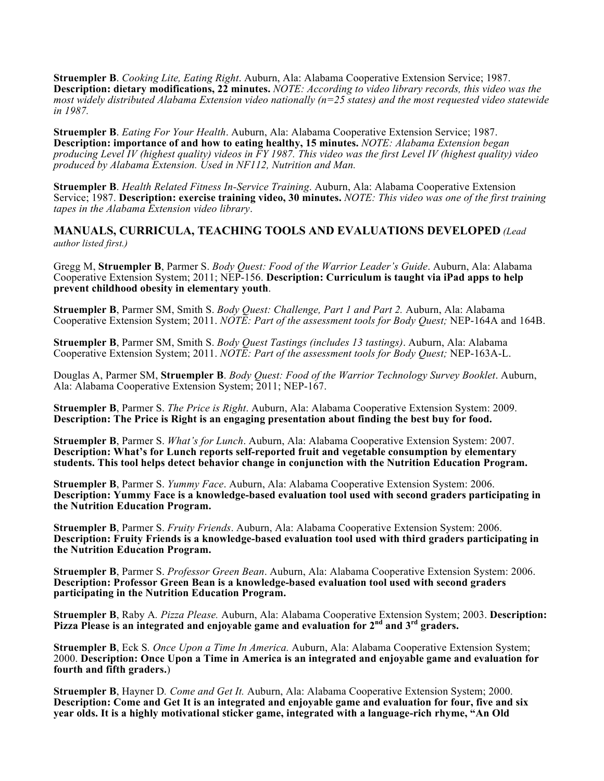**Struempler B**. *Cooking Lite, Eating Right*. Auburn, Ala: Alabama Cooperative Extension Service; 1987. **Description: dietary modifications, 22 minutes.** *NOTE: According to video library records, this video was the most widely distributed Alabama Extension video nationally (n=25 states) and the most requested video statewide in 1987.*

**Struempler B**. *Eating For Your Health*. Auburn, Ala: Alabama Cooperative Extension Service; 1987. **Description: importance of and how to eating healthy, 15 minutes.** *NOTE: Alabama Extension began producing Level IV (highest quality) videos in FY 1987. This video was the first Level IV (highest quality) video produced by Alabama Extension. Used in NF112, Nutrition and Man.*

**Struempler B**. *Health Related Fitness In-Service Training*. Auburn, Ala: Alabama Cooperative Extension Service; 1987. **Description: exercise training video, 30 minutes.** *NOTE: This video was one of the first training tapes in the Alabama Extension video library*.

**MANUALS, CURRICULA, TEACHING TOOLS AND EVALUATIONS DEVELOPED** *(Lead author listed first.)*

Gregg M, **Struempler B**, Parmer S. *Body Quest: Food of the Warrior Leader's Guide*. Auburn, Ala: Alabama Cooperative Extension System; 2011; NEP-156. **Description: Curriculum is taught via iPad apps to help prevent childhood obesity in elementary youth**.

**Struempler B**, Parmer SM, Smith S. *Body Quest: Challenge, Part 1 and Part 2.* Auburn, Ala: Alabama Cooperative Extension System; 2011. *NOTE: Part of the assessment tools for Body Quest;* NEP-164A and 164B.

**Struempler B**, Parmer SM, Smith S. *Body Quest Tastings (includes 13 tastings)*. Auburn, Ala: Alabama Cooperative Extension System; 2011. *NOTE: Part of the assessment tools for Body Quest;* NEP-163A-L.

Douglas A, Parmer SM, **Struempler B**. *Body Quest: Food of the Warrior Technology Survey Booklet*. Auburn, Ala: Alabama Cooperative Extension System; 2011; NEP-167.

**Struempler B**, Parmer S. *The Price is Right*. Auburn, Ala: Alabama Cooperative Extension System: 2009. **Description: The Price is Right is an engaging presentation about finding the best buy for food.**

**Struempler B**, Parmer S. *What's for Lunch*. Auburn, Ala: Alabama Cooperative Extension System: 2007. **Description: What's for Lunch reports self-reported fruit and vegetable consumption by elementary students. This tool helps detect behavior change in conjunction with the Nutrition Education Program.**

**Struempler B**, Parmer S. *Yummy Face*. Auburn, Ala: Alabama Cooperative Extension System: 2006. **Description: Yummy Face is a knowledge-based evaluation tool used with second graders participating in the Nutrition Education Program.**

**Struempler B**, Parmer S. *Fruity Friends*. Auburn, Ala: Alabama Cooperative Extension System: 2006. **Description: Fruity Friends is a knowledge-based evaluation tool used with third graders participating in the Nutrition Education Program.**

**Struempler B**, Parmer S. *Professor Green Bean*. Auburn, Ala: Alabama Cooperative Extension System: 2006. **Description: Professor Green Bean is a knowledge-based evaluation tool used with second graders participating in the Nutrition Education Program.**

**Struempler B**, Raby A*. Pizza Please.* Auburn, Ala: Alabama Cooperative Extension System; 2003. **Description: Pizza Please is an integrated and enjoyable game and evaluation for 2nd and 3rd graders.**

**Struempler B**, Eck S*. Once Upon a Time In America.* Auburn, Ala: Alabama Cooperative Extension System; 2000. **Description: Once Upon a Time in America is an integrated and enjoyable game and evaluation for fourth and fifth graders.**)

**Struempler B**, Hayner D*. Come and Get It.* Auburn, Ala: Alabama Cooperative Extension System; 2000. **Description: Come and Get It is an integrated and enjoyable game and evaluation for four, five and six year olds. It is a highly motivational sticker game, integrated with a language-rich rhyme, "An Old**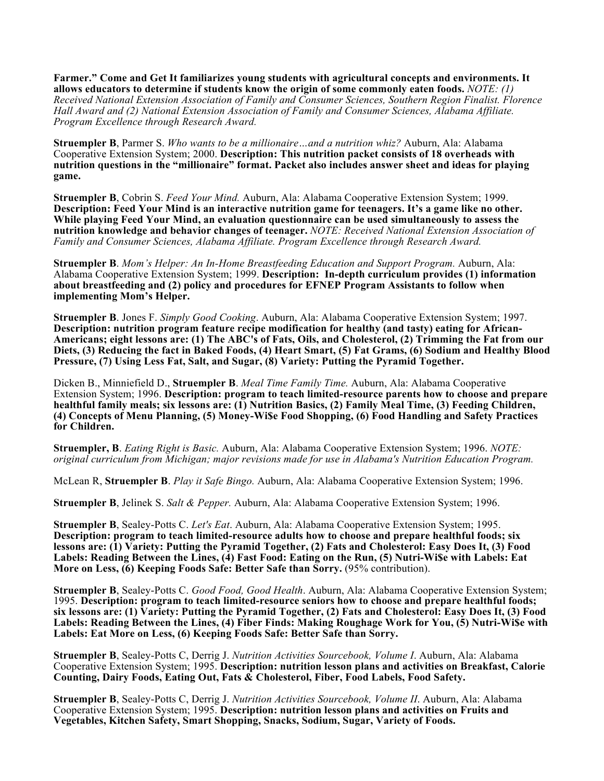**Farmer." Come and Get It familiarizes young students with agricultural concepts and environments. It allows educators to determine if students know the origin of some commonly eaten foods.** *NOTE: (1) Received National Extension Association of Family and Consumer Sciences, Southern Region Finalist. Florence Hall Award and (2) National Extension Association of Family and Consumer Sciences, Alabama Affiliate. Program Excellence through Research Award.*

**Struempler B**, Parmer S. *Who wants to be a millionaire…and a nutrition whiz?* Auburn, Ala: Alabama Cooperative Extension System; 2000. **Description: This nutrition packet consists of 18 overheads with nutrition questions in the "millionaire" format. Packet also includes answer sheet and ideas for playing game.**

**Struempler B**, Cobrin S. *Feed Your Mind.* Auburn, Ala: Alabama Cooperative Extension System; 1999. **Description: Feed Your Mind is an interactive nutrition game for teenagers. It's a game like no other. While playing Feed Your Mind, an evaluation questionnaire can be used simultaneously to assess the nutrition knowledge and behavior changes of teenager.** *NOTE: Received National Extension Association of Family and Consumer Sciences, Alabama Affiliate. Program Excellence through Research Award.*

**Struempler B**. *Mom's Helper: An In-Home Breastfeeding Education and Support Program.* Auburn, Ala: Alabama Cooperative Extension System; 1999. **Description: In-depth curriculum provides (1) information about breastfeeding and (2) policy and procedures for EFNEP Program Assistants to follow when implementing Mom's Helper.**

**Struempler B**. Jones F. *Simply Good Cooking*. Auburn, Ala: Alabama Cooperative Extension System; 1997. **Description: nutrition program feature recipe modification for healthy (and tasty) eating for African-Americans; eight lessons are: (1) The ABC's of Fats, Oils, and Cholesterol, (2) Trimming the Fat from our Diets, (3) Reducing the fact in Baked Foods, (4) Heart Smart, (5) Fat Grams, (6) Sodium and Healthy Blood Pressure, (7) Using Less Fat, Salt, and Sugar, (8) Variety: Putting the Pyramid Together.**

Dicken B., Minniefield D., **Struempler B**. *Meal Time Family Time.* Auburn, Ala: Alabama Cooperative Extension System; 1996. **Description: program to teach limited-resource parents how to choose and prepare healthful family meals; six lessons are: (1) Nutrition Basics, (2) Family Meal Time, (3) Feeding Children, (4) Concepts of Menu Planning, (5) Money-Wi\$e Food Shopping, (6) Food Handling and Safety Practices for Children.**

**Struempler, B**. *Eating Right is Basic.* Auburn, Ala: Alabama Cooperative Extension System; 1996. *NOTE: original curriculum from Michigan; major revisions made for use in Alabama's Nutrition Education Program.*

McLean R, **Struempler B**. *Play it Safe Bingo.* Auburn, Ala: Alabama Cooperative Extension System; 1996.

**Struempler B**, Jelinek S. *Salt & Pepper.* Auburn, Ala: Alabama Cooperative Extension System; 1996.

**Struempler B**, Sealey-Potts C. *Let's Eat*. Auburn, Ala: Alabama Cooperative Extension System; 1995. **Description: program to teach limited-resource adults how to choose and prepare healthful foods; six lessons are: (1) Variety: Putting the Pyramid Together, (2) Fats and Cholesterol: Easy Does It, (3) Food Labels: Reading Between the Lines, (4) Fast Food: Eating on the Run, (5) Nutri-Wi\$e with Labels: Eat More on Less, (6) Keeping Foods Safe: Better Safe than Sorry.** (95% contribution).

**Struempler B**, Sealey-Potts C. *Good Food, Good Health*. Auburn, Ala: Alabama Cooperative Extension System; 1995. **Description: program to teach limited-resource seniors how to choose and prepare healthful foods; six lessons are: (1) Variety: Putting the Pyramid Together, (2) Fats and Cholesterol: Easy Does It, (3) Food Labels: Reading Between the Lines, (4) Fiber Finds: Making Roughage Work for You, (5) Nutri-Wi\$e with Labels: Eat More on Less, (6) Keeping Foods Safe: Better Safe than Sorry.**

**Struempler B**, Sealey-Potts C, Derrig J. *Nutrition Activities Sourcebook, Volume I*. Auburn, Ala: Alabama Cooperative Extension System; 1995. **Description: nutrition lesson plans and activities on Breakfast, Calorie Counting, Dairy Foods, Eating Out, Fats & Cholesterol, Fiber, Food Labels, Food Safety.**

**Struempler B**, Sealey-Potts C, Derrig J. *Nutrition Activities Sourcebook, Volume II*. Auburn, Ala: Alabama Cooperative Extension System; 1995. **Description: nutrition lesson plans and activities on Fruits and Vegetables, Kitchen Safety, Smart Shopping, Snacks, Sodium, Sugar, Variety of Foods.**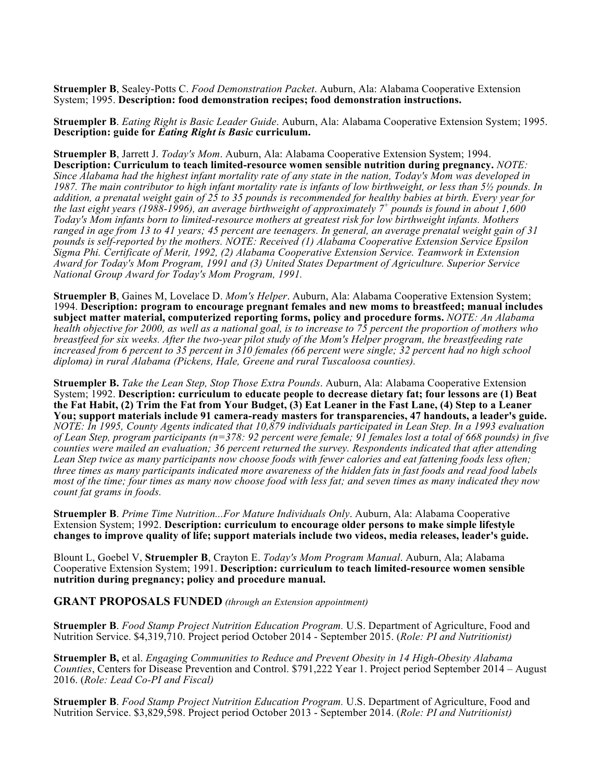**Struempler B**, Sealey-Potts C. *Food Demonstration Packet*. Auburn, Ala: Alabama Cooperative Extension System; 1995. **Description: food demonstration recipes; food demonstration instructions.**

**Struempler B**. *Eating Right is Basic Leader Guide*. Auburn, Ala: Alabama Cooperative Extension System; 1995. **Description: guide for** *Eating Right is Basic* **curriculum.**

**Struempler B**, Jarrett J. *Today's Mom*. Auburn, Ala: Alabama Cooperative Extension System; 1994. **Description: Curriculum to teach limited-resource women sensible nutrition during pregnancy.** *NOTE: Since Alabama had the highest infant mortality rate of any state in the nation, Today's Mom was developed in 1987. The main contributor to high infant mortality rate is infants of low birthweight, or less than 5½ pounds. In addition, a prenatal weight gain of 25 to 35 pounds is recommended for healthy babies at birth. Every year for the last eight years (1988-1996), an average birthweight of approximately 7<sup>+</sup> pounds is found in about 1,600 Today's Mom infants born to limited-resource mothers at greatest risk for low birthweight infants. Mothers ranged in age from 13 to 41 years; 45 percent are teenagers. In general, an average prenatal weight gain of 31 pounds is self-reported by the mothers. NOTE: Received (1) Alabama Cooperative Extension Service Epsilon Sigma Phi. Certificate of Merit, 1992, (2) Alabama Cooperative Extension Service. Teamwork in Extension Award for Today's Mom Program, 1991 and (3) United States Department of Agriculture. Superior Service National Group Award for Today's Mom Program, 1991.*

**Struempler B**, Gaines M, Lovelace D. *Mom's Helper*. Auburn, Ala: Alabama Cooperative Extension System; 1994. **Description: program to encourage pregnant females and new moms to breastfeed; manual includes subject matter material, computerized reporting forms, policy and procedure forms.** *NOTE: An Alabama health objective for 2000, as well as a national goal, is to increase to 75 percent the proportion of mothers who breastfeed for six weeks. After the two-year pilot study of the Mom's Helper program, the breastfeeding rate increased from 6 percent to 35 percent in 310 females (66 percent were single; 32 percent had no high school diploma) in rural Alabama (Pickens, Hale, Greene and rural Tuscaloosa counties).*

**Struempler B.** *Take the Lean Step, Stop Those Extra Pounds*. Auburn, Ala: Alabama Cooperative Extension System; 1992. **Description: curriculum to educate people to decrease dietary fat; four lessons are (1) Beat the Fat Habit, (2) Trim the Fat from Your Budget, (3) Eat Leaner in the Fast Lane, (4) Step to a Leaner You; support materials include 91 camera-ready masters for transparencies, 47 handouts, a leader's guide.** *NOTE: In 1995, County Agents indicated that 10,879 individuals participated in Lean Step. In a 1993 evaluation of Lean Step, program participants (n=378: 92 percent were female; 91 females lost a total of 668 pounds) in five counties were mailed an evaluation; 36 percent returned the survey. Respondents indicated that after attending*  Lean Step twice as many participants now choose foods with fewer calories and eat fattening foods less often; *three times as many participants indicated more awareness of the hidden fats in fast foods and read food labels most of the time; four times as many now choose food with less fat; and seven times as many indicated they now count fat grams in foods.*

**Struempler B**. *Prime Time Nutrition...For Mature Individuals Only*. Auburn, Ala: Alabama Cooperative Extension System; 1992. **Description: curriculum to encourage older persons to make simple lifestyle changes to improve quality of life; support materials include two videos, media releases, leader's guide.** 

Blount L, Goebel V, **Struempler B**, Crayton E. *Today's Mom Program Manual*. Auburn, Ala; Alabama Cooperative Extension System; 1991. **Description: curriculum to teach limited-resource women sensible nutrition during pregnancy; policy and procedure manual.**

**GRANT PROPOSALS FUNDED** *(through an Extension appointment)*

**Struempler B**. *Food Stamp Project Nutrition Education Program.* U.S. Department of Agriculture, Food and Nutrition Service. \$4,319,710. Project period October 2014 - September 2015. (*Role: PI and Nutritionist)*

**Struempler B,** et al. *Engaging Communities to Reduce and Prevent Obesity in 14 High-Obesity Alabama Counties*, Centers for Disease Prevention and Control. \$791,222 Year 1. Project period September 2014 – August 2016. (*Role: Lead Co-PI and Fiscal)*

**Struempler B**. *Food Stamp Project Nutrition Education Program.* U.S. Department of Agriculture, Food and Nutrition Service. \$3,829,598. Project period October 2013 - September 2014. (*Role: PI and Nutritionist)*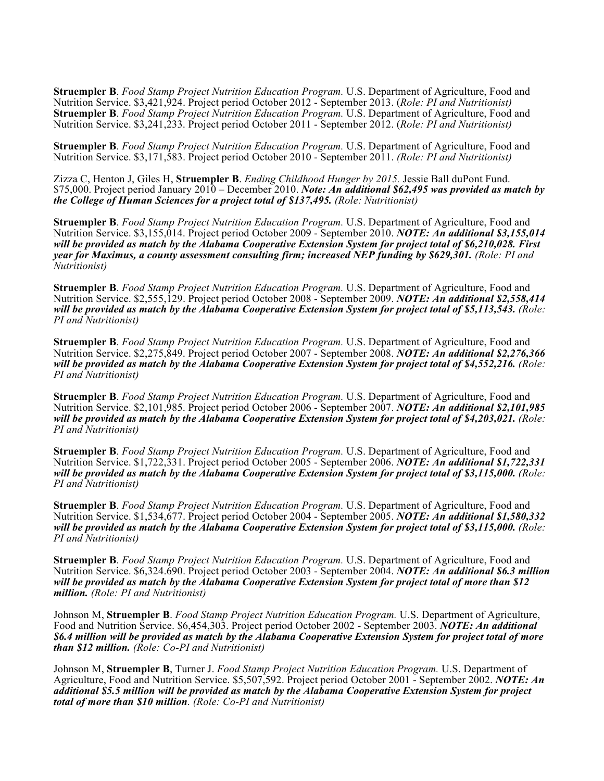**Struempler B**. *Food Stamp Project Nutrition Education Program.* U.S. Department of Agriculture, Food and Nutrition Service. \$3,421,924. Project period October 2012 - September 2013. (*Role: PI and Nutritionist)* **Struempler B**. *Food Stamp Project Nutrition Education Program.* U.S. Department of Agriculture, Food and Nutrition Service. \$3,241,233. Project period October 2011 - September 2012. (*Role: PI and Nutritionist)*

**Struempler B**. *Food Stamp Project Nutrition Education Program.* U.S. Department of Agriculture, Food and Nutrition Service. \$3,171,583. Project period October 2010 - September 2011. *(Role: PI and Nutritionist)*

Zizza C, Henton J, Giles H, **Struempler B**. *Ending Childhood Hunger by 2015.* Jessie Ball duPont Fund. \$75,000. Project period January 2010 – December 2010. *Note: An additional \$62,495 was provided as match by the College of Human Sciences for a project total of \$137,495. (Role: Nutritionist)*

**Struempler B**. *Food Stamp Project Nutrition Education Program.* U.S. Department of Agriculture, Food and Nutrition Service. \$3,155,014. Project period October 2009 - September 2010. *NOTE: An additional \$3,155,014 will be provided as match by the Alabama Cooperative Extension System for project total of \$6,210,028. First year for Maximus, a county assessment consulting firm; increased NEP funding by \$629,301. (Role: PI and Nutritionist)*

**Struempler B**. *Food Stamp Project Nutrition Education Program.* U.S. Department of Agriculture, Food and Nutrition Service. \$2,555,129. Project period October 2008 - September 2009. *NOTE: An additional \$2,558,414 will be provided as match by the Alabama Cooperative Extension System for project total of \$5,113,543. (Role: PI and Nutritionist)*

**Struempler B**. *Food Stamp Project Nutrition Education Program.* U.S. Department of Agriculture, Food and Nutrition Service. \$2,275,849. Project period October 2007 - September 2008. *NOTE: An additional \$2,276,366 will be provided as match by the Alabama Cooperative Extension System for project total of \$4,552,216. (Role: PI and Nutritionist)*

**Struempler B**. *Food Stamp Project Nutrition Education Program.* U.S. Department of Agriculture, Food and Nutrition Service. \$2,101,985. Project period October 2006 - September 2007. *NOTE: An additional \$2,101,985 will be provided as match by the Alabama Cooperative Extension System for project total of \$4,203,021. (Role: PI and Nutritionist)*

**Struempler B**. *Food Stamp Project Nutrition Education Program.* U.S. Department of Agriculture, Food and Nutrition Service. \$1,722,331. Project period October 2005 - September 2006. *NOTE: An additional \$1,722,331 will be provided as match by the Alabama Cooperative Extension System for project total of \$3,115,000. (Role: PI and Nutritionist)*

**Struempler B**. *Food Stamp Project Nutrition Education Program.* U.S. Department of Agriculture, Food and Nutrition Service. \$1,534,677. Project period October 2004 - September 2005. *NOTE: An additional \$1,580,332 will be provided as match by the Alabama Cooperative Extension System for project total of \$3,115,000. (Role: PI and Nutritionist)*

**Struempler B**. *Food Stamp Project Nutrition Education Program.* U.S. Department of Agriculture, Food and Nutrition Service. \$6,324.690. Project period October 2003 - September 2004. *NOTE: An additional \$6.3 million will be provided as match by the Alabama Cooperative Extension System for project total of more than \$12 million. (Role: PI and Nutritionist)*

Johnson M, **Struempler B**. *Food Stamp Project Nutrition Education Program.* U.S. Department of Agriculture, Food and Nutrition Service. \$6,454,303. Project period October 2002 - September 2003. *NOTE: An additional \$6.4 million will be provided as match by the Alabama Cooperative Extension System for project total of more than \$12 million. (Role: Co-PI and Nutritionist)*

Johnson M, **Struempler B**, Turner J. *Food Stamp Project Nutrition Education Program.* U.S. Department of Agriculture, Food and Nutrition Service. \$5,507,592. Project period October 2001 - September 2002. *NOTE: An additional \$5.5 million will be provided as match by the Alabama Cooperative Extension System for project total of more than \$10 million. (Role: Co-PI and Nutritionist)*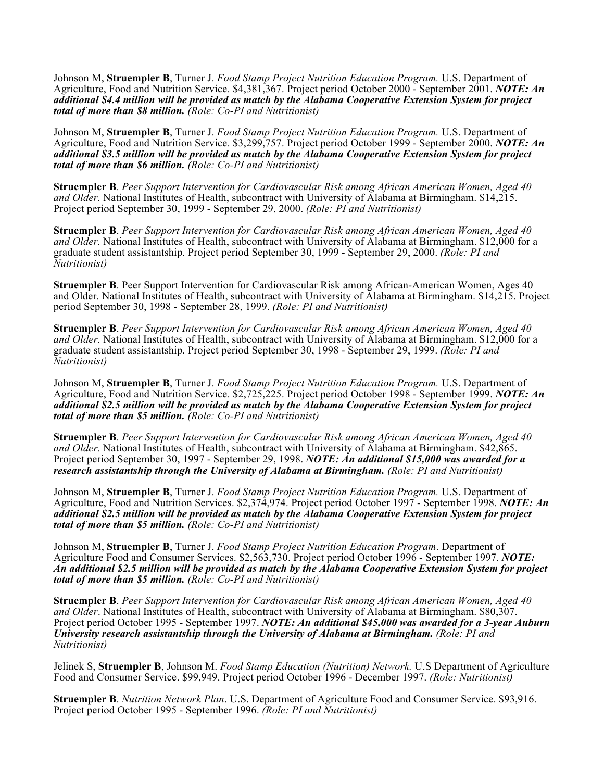Johnson M, **Struempler B**, Turner J. *Food Stamp Project Nutrition Education Program.* U.S. Department of Agriculture, Food and Nutrition Service. \$4,381,367. Project period October 2000 - September 2001. *NOTE: An additional \$4.4 million will be provided as match by the Alabama Cooperative Extension System for project total of more than \$8 million. (Role: Co-PI and Nutritionist)*

Johnson M, **Struempler B**, Turner J. *Food Stamp Project Nutrition Education Program.* U.S. Department of Agriculture, Food and Nutrition Service. \$3,299,757. Project period October 1999 - September 2000. *NOTE: An additional \$3.5 million will be provided as match by the Alabama Cooperative Extension System for project total of more than \$6 million. (Role: Co-PI and Nutritionist)*

**Struempler B**. *Peer Support Intervention for Cardiovascular Risk among African American Women, Aged 40 and Older.* National Institutes of Health, subcontract with University of Alabama at Birmingham. \$14,215. Project period September 30, 1999 - September 29, 2000. *(Role: PI and Nutritionist)*

**Struempler B**. *Peer Support Intervention for Cardiovascular Risk among African American Women, Aged 40 and Older.* National Institutes of Health, subcontract with University of Alabama at Birmingham. \$12,000 for a graduate student assistantship. Project period September 30, 1999 - September 29, 2000. *(Role: PI and Nutritionist)*

**Struempler B**. Peer Support Intervention for Cardiovascular Risk among African-American Women, Ages 40 and Older. National Institutes of Health, subcontract with University of Alabama at Birmingham. \$14,215. Project period September 30, 1998 - September 28, 1999. *(Role: PI and Nutritionist)*

**Struempler B**. *Peer Support Intervention for Cardiovascular Risk among African American Women, Aged 40 and Older.* National Institutes of Health, subcontract with University of Alabama at Birmingham. \$12,000 for a graduate student assistantship. Project period September 30, 1998 - September 29, 1999. *(Role: PI and Nutritionist)*

Johnson M, **Struempler B**, Turner J. *Food Stamp Project Nutrition Education Program.* U.S. Department of Agriculture, Food and Nutrition Service. \$2,725,225. Project period October 1998 - September 1999. *NOTE: An additional \$2.5 million will be provided as match by the Alabama Cooperative Extension System for project total of more than \$5 million. (Role: Co-PI and Nutritionist)*

**Struempler B**. *Peer Support Intervention for Cardiovascular Risk among African American Women, Aged 40 and Older.* National Institutes of Health, subcontract with University of Alabama at Birmingham. \$42,865. Project period September 30, 1997 - September 29, 1998. *NOTE: An additional \$15,000 was awarded for a research assistantship through the University of Alabama at Birmingham. (Role: PI and Nutritionist)*

Johnson M, **Struempler B**, Turner J. *Food Stamp Project Nutrition Education Program.* U.S. Department of Agriculture, Food and Nutrition Services. \$2,374,974. Project period October 1997 - September 1998. *NOTE: An additional \$2.5 million will be provided as match by the Alabama Cooperative Extension System for project total of more than \$5 million. (Role: Co-PI and Nutritionist)*

Johnson M, **Struempler B**, Turner J. *Food Stamp Project Nutrition Education Program*. Department of Agriculture Food and Consumer Services. \$2,563,730. Project period October 1996 - September 1997. *NOTE: An additional \$2.5 million will be provided as match by the Alabama Cooperative Extension System for project total of more than \$5 million. (Role: Co-PI and Nutritionist)*

**Struempler B**. *Peer Support Intervention for Cardiovascular Risk among African American Women, Aged 40 and Older*. National Institutes of Health, subcontract with University of Alabama at Birmingham. \$80,307. Project period October 1995 - September 1997. *NOTE: An additional \$45,000 was awarded for a 3-year Auburn University research assistantship through the University of Alabama at Birmingham. (Role: PI and Nutritionist)*

Jelinek S, **Struempler B**, Johnson M. *Food Stamp Education (Nutrition) Network.* U.S Department of Agriculture Food and Consumer Service. \$99,949. Project period October 1996 - December 1997. *(Role: Nutritionist)*

**Struempler B**. *Nutrition Network Plan*. U.S. Department of Agriculture Food and Consumer Service. \$93,916. Project period October 1995 - September 1996. *(Role: PI and Nutritionist)*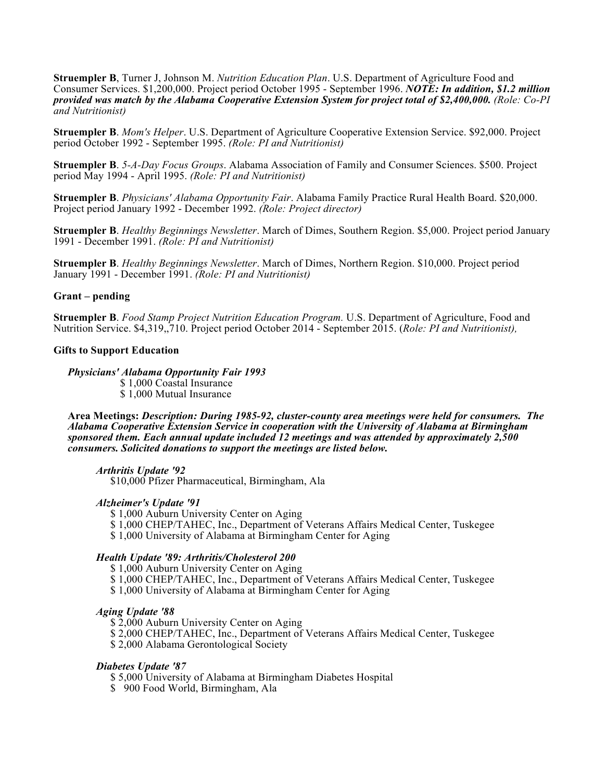**Struempler B**, Turner J, Johnson M. *Nutrition Education Plan*. U.S. Department of Agriculture Food and Consumer Services. \$1,200,000. Project period October 1995 - September 1996. *NOTE: In addition, \$1.2 million provided was match by the Alabama Cooperative Extension System for project total of \$2,400,000. (Role: Co-PI and Nutritionist)*

**Struempler B**. *Mom's Helper*. U.S. Department of Agriculture Cooperative Extension Service. \$92,000. Project period October 1992 - September 1995. *(Role: PI and Nutritionist)*

**Struempler B**. *5-A-Day Focus Groups*. Alabama Association of Family and Consumer Sciences. \$500. Project period May 1994 - April 1995. *(Role: PI and Nutritionist)*

**Struempler B**. *Physicians' Alabama Opportunity Fair*. Alabama Family Practice Rural Health Board. \$20,000. Project period January 1992 - December 1992. *(Role: Project director)*

**Struempler B**. *Healthy Beginnings Newsletter*. March of Dimes, Southern Region. \$5,000. Project period January 1991 - December 1991. *(Role: PI and Nutritionist)*

**Struempler B**. *Healthy Beginnings Newsletter*. March of Dimes, Northern Region. \$10,000. Project period January 1991 - December 1991. *(Role: PI and Nutritionist)*

#### **Grant – pending**

**Struempler B**. *Food Stamp Project Nutrition Education Program.* U.S. Department of Agriculture, Food and Nutrition Service. \$4,319,,710. Project period October 2014 - September 2015. (*Role: PI and Nutritionist),*

#### **Gifts to Support Education**

#### *Physicians' Alabama Opportunity Fair 1993*

\$ 1,000 Coastal Insurance \$ 1,000 Mutual Insurance

**Area Meetings:** *Description: During 1985-92, cluster-county area meetings were held for consumers. The Alabama Cooperative Extension Service in cooperation with the University of Alabama at Birmingham sponsored them. Each annual update included 12 meetings and was attended by approximately 2,500 consumers. Solicited donations to support the meetings are listed below.*

## *Arthritis Update '92*

\$10,000 Pfizer Pharmaceutical, Birmingham, Ala

## *Alzheimer's Update '91*

\$ 1,000 Auburn University Center on Aging

- \$ 1,000 CHEP/TAHEC, Inc., Department of Veterans Affairs Medical Center, Tuskegee
- \$ 1,000 University of Alabama at Birmingham Center for Aging

#### *Health Update '89: Arthritis/Cholesterol 200*

\$1,000 Auburn University Center on Aging

- \$ 1,000 CHEP/TAHEC, Inc., Department of Veterans Affairs Medical Center, Tuskegee
- \$ 1,000 University of Alabama at Birmingham Center for Aging

### *Aging Update '88*

\$ 2,000 Auburn University Center on Aging

\$ 2,000 CHEP/TAHEC, Inc., Department of Veterans Affairs Medical Center, Tuskegee

\$ 2,000 Alabama Gerontological Society

## *Diabetes Update '87*

- \$ 5,000 University of Alabama at Birmingham Diabetes Hospital
- \$ 900 Food World, Birmingham, Ala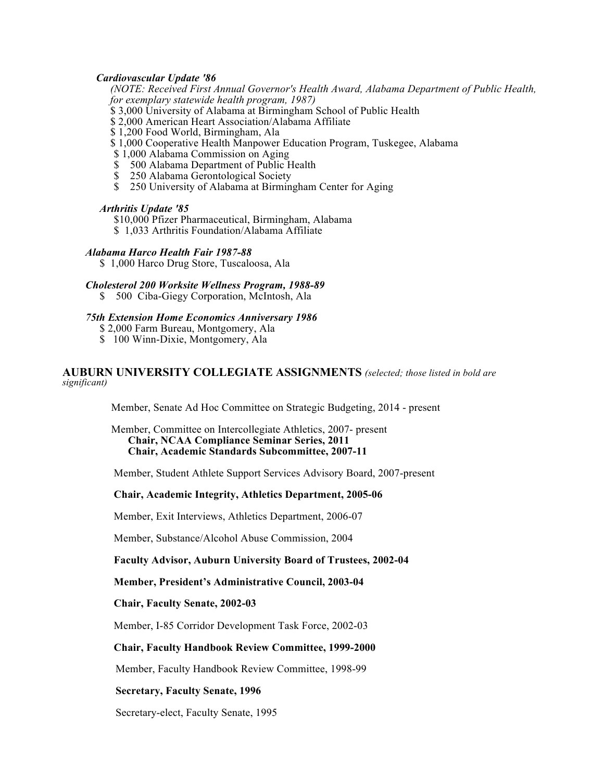## *Cardiovascular Update '86*

*(NOTE: Received First Annual Governor's Health Award, Alabama Department of Public Health, for exemplary statewide health program, 1987)*

 $\frac{1}{5}$  3,000 University of Alabama at Birmingham School of Public Health

\$ 2,000 American Heart Association/Alabama Affiliate

\$ 1,200 Food World, Birmingham, Ala

\$ 1,000 Cooperative Health Manpower Education Program, Tuskegee, Alabama

\$ 1,000 Alabama Commission on Aging

\$ 500 Alabama Department of Public Health<br>\$ 250 Alabama Gerontological Society

- 250 Alabama Gerontological Society
- \$ 250 University of Alabama at Birmingham Center for Aging

## *Arthritis Update '85*

\$10,000 Pfizer Pharmaceutical, Birmingham, Alabama

\$ 1,033 Arthritis Foundation/Alabama Affiliate

*Alabama Harco Health Fair 1987-88*

\$ 1,000 Harco Drug Store, Tuscaloosa, Ala

*Cholesterol 200 Worksite Wellness Program, 1988-89*

\$ 500 Ciba-Giegy Corporation, McIntosh, Ala

## *75th Extension Home Economics Anniversary 1986*

\$ 2,000 Farm Bureau, Montgomery, Ala

\$ 100 Winn-Dixie, Montgomery, Ala

## **AUBURN UNIVERSITY COLLEGIATE ASSIGNMENTS** *(selected; those listed in bold are significant)*

Member, Senate Ad Hoc Committee on Strategic Budgeting, 2014 - present

Member, Committee on Intercollegiate Athletics, 2007- present **Chair, NCAA Compliance Seminar Series, 2011 Chair, Academic Standards Subcommittee, 2007-11**

Member, Student Athlete Support Services Advisory Board, 2007-present

# **Chair, Academic Integrity, Athletics Department, 2005-06**

Member, Exit Interviews, Athletics Department, 2006-07

Member, Substance/Alcohol Abuse Commission, 2004

### **Faculty Advisor, Auburn University Board of Trustees, 2002-04**

# **Member, President's Administrative Council, 2003-04**

**Chair, Faculty Senate, 2002-03**

Member, I-85 Corridor Development Task Force, 2002-03

# **Chair, Faculty Handbook Review Committee, 1999-2000**

Member, Faculty Handbook Review Committee, 1998-99

# **Secretary, Faculty Senate, 1996**

Secretary-elect, Faculty Senate, 1995